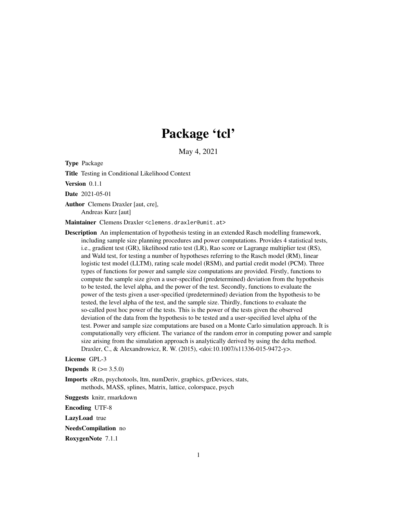## Package 'tcl'

May 4, 2021

Type Package

Title Testing in Conditional Likelihood Context

Version 0.1.1

Date 2021-05-01

Author Clemens Draxler [aut, cre], Andreas Kurz [aut]

Maintainer Clemens Draxler <clemens.draxler@umit.at>

Description An implementation of hypothesis testing in an extended Rasch modelling framework, including sample size planning procedures and power computations. Provides 4 statistical tests, i.e., gradient test (GR), likelihood ratio test (LR), Rao score or Lagrange multiplier test (RS), and Wald test, for testing a number of hypotheses referring to the Rasch model (RM), linear logistic test model (LLTM), rating scale model (RSM), and partial credit model (PCM). Three types of functions for power and sample size computations are provided. Firstly, functions to compute the sample size given a user-specified (predetermined) deviation from the hypothesis to be tested, the level alpha, and the power of the test. Secondly, functions to evaluate the power of the tests given a user-specified (predetermined) deviation from the hypothesis to be tested, the level alpha of the test, and the sample size. Thirdly, functions to evaluate the so-called post hoc power of the tests. This is the power of the tests given the observed deviation of the data from the hypothesis to be tested and a user-specified level alpha of the test. Power and sample size computations are based on a Monte Carlo simulation approach. It is computationally very efficient. The variance of the random error in computing power and sample size arising from the simulation approach is analytically derived by using the delta method. Draxler, C., & Alexandrowicz, R. W. (2015), <doi:10.1007/s11336-015-9472-y>.

## License GPL-3

**Depends** R  $(>= 3.5.0)$ 

Imports eRm, psychotools, ltm, numDeriv, graphics, grDevices, stats, methods, MASS, splines, Matrix, lattice, colorspace, psych

Suggests knitr, rmarkdown

Encoding UTF-8

LazyLoad true

NeedsCompilation no

RoxygenNote 7.1.1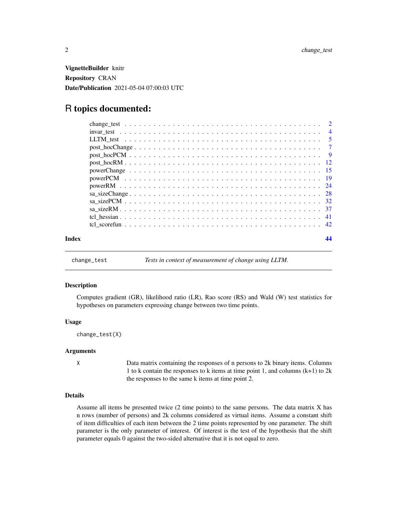<span id="page-1-0"></span>VignetteBuilder knitr Repository CRAN Date/Publication 2021-05-04 07:00:03 UTC

## R topics documented:

| Index |  |
|-------|--|

<span id="page-1-1"></span>change\_test *Tests in context of measurement of change using LLTM.*

#### Description

Computes gradient (GR), likelihood ratio (LR), Rao score (RS) and Wald (W) test statistics for hypotheses on parameters expressing change between two time points.

#### Usage

change\_test(X)

### Arguments

X Data matrix containing the responses of n persons to 2k binary items. Columns 1 to k contain the responses to k items at time point 1, and columns (k+1) to 2k the responses to the same k items at time point 2.

## Details

Assume all items be presented twice (2 time points) to the same persons. The data matrix X has n rows (number of persons) and 2k columns considered as virtual items. Assume a constant shift of item difficulties of each item between the 2 time points represented by one parameter. The shift parameter is the only parameter of interest. Of interest is the test of the hypothesis that the shift parameter equals 0 against the two-sided alternative that it is not equal to zero.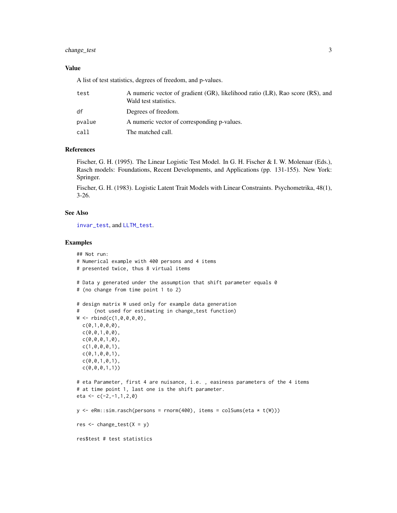## <span id="page-2-0"></span>change\_test 3

## Value

A list of test statistics, degrees of freedom, and p-values.

| test   | A numeric vector of gradient (GR), likelihood ratio (LR), Rao score (RS), and<br>Wald test statistics. |
|--------|--------------------------------------------------------------------------------------------------------|
| df     | Degrees of freedom.                                                                                    |
| pvalue | A numeric vector of corresponding p-values.                                                            |
| call   | The matched call.                                                                                      |

## References

Fischer, G. H. (1995). The Linear Logistic Test Model. In G. H. Fischer & I. W. Molenaar (Eds.), Rasch models: Foundations, Recent Developments, and Applications (pp. 131-155). New York: Springer.

Fischer, G. H. (1983). Logistic Latent Trait Models with Linear Constraints. Psychometrika, 48(1), 3-26.

## See Also

[invar\\_test](#page-3-1), and [LLTM\\_test](#page-4-1).

```
## Not run:
# Numerical example with 400 persons and 4 items
# presented twice, thus 8 virtual items
# Data y generated under the assumption that shift parameter equals 0
# (no change from time point 1 to 2)
# design matrix W used only for example data generation
# (not used for estimating in change_test function)
W < - rbind(c(1,0,0,0,0),
  c(\emptyset,1,\emptyset,\emptyset,\emptyset),
  c(\emptyset, \emptyset, 1, \emptyset, \emptyset),
  c(0,0,0,1,0),
  c(1,0,0,0,1),
  c(\emptyset,1,\emptyset,\emptyset,1),c(\emptyset, \emptyset, 1, \emptyset, 1),c(0,0,0,1,1))
# eta Parameter, first 4 are nuisance, i.e. , easiness parameters of the 4 items
# at time point 1, last one is the shift parameter.
eta <- c(-2,-1,1,2,0)y \leq -eRm: :sim.rasch(persons = rnorm(400), items = colSums(eta * t(W)))
res \le change_test(X = y)
res$test # test statistics
```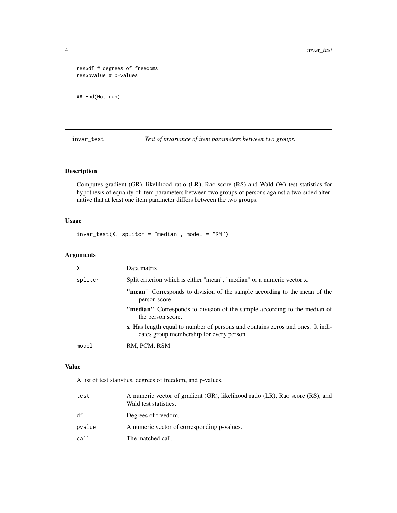```
res$df # degrees of freedoms
res$pvalue # p-values
```
## End(Not run)

<span id="page-3-1"></span>invar\_test *Test of invariance of item parameters between two groups.*

## Description

Computes gradient (GR), likelihood ratio (LR), Rao score (RS) and Wald (W) test statistics for hypothesis of equality of item parameters between two groups of persons against a two-sided alternative that at least one item parameter differs between the two groups.

## Usage

 $invar_test(X, splitcr = "median", model = "RM")$ 

## Arguments

| X       | Data matrix.                                                                                                              |
|---------|---------------------------------------------------------------------------------------------------------------------------|
| splitcr | Split criterion which is either "mean", "median" or a numeric vector x.                                                   |
|         | <b>"mean"</b> Corresponds to division of the sample according to the mean of the<br>person score.                         |
|         | <b>"median"</b> Corresponds to division of the sample according to the median of<br>the person score.                     |
|         | x Has length equal to number of persons and contains zeros and ones. It indi-<br>cates group membership for every person. |
| model   | RM, PCM, RSM                                                                                                              |
|         |                                                                                                                           |

## Value

A list of test statistics, degrees of freedom, and p-values.

| test   | A numeric vector of gradient (GR), likelihood ratio (LR), Rao score (RS), and<br>Wald test statistics. |
|--------|--------------------------------------------------------------------------------------------------------|
| df     | Degrees of freedom.                                                                                    |
| pvalue | A numeric vector of corresponding p-values.                                                            |
| call   | The matched call.                                                                                      |

<span id="page-3-0"></span>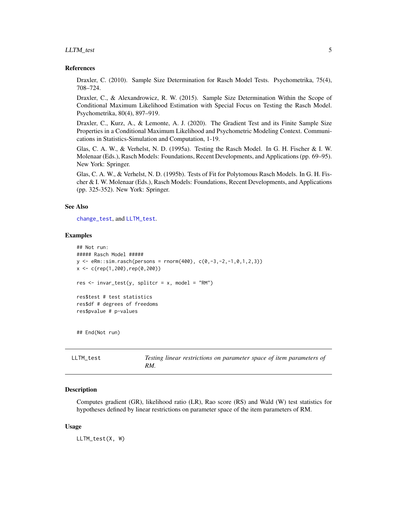## <span id="page-4-0"></span>LLTM\_test 5

#### References

Draxler, C. (2010). Sample Size Determination for Rasch Model Tests. Psychometrika, 75(4), 708–724.

Draxler, C., & Alexandrowicz, R. W. (2015). Sample Size Determination Within the Scope of Conditional Maximum Likelihood Estimation with Special Focus on Testing the Rasch Model. Psychometrika, 80(4), 897–919.

Draxler, C., Kurz, A., & Lemonte, A. J. (2020). The Gradient Test and its Finite Sample Size Properties in a Conditional Maximum Likelihood and Psychometric Modeling Context. Communications in Statistics-Simulation and Computation, 1-19.

Glas, C. A. W., & Verhelst, N. D. (1995a). Testing the Rasch Model. In G. H. Fischer & I. W. Molenaar (Eds.), Rasch Models: Foundations, Recent Developments, and Applications (pp. 69–95). New York: Springer.

Glas, C. A. W., & Verhelst, N. D. (1995b). Tests of Fit for Polytomous Rasch Models. In G. H. Fischer & I. W. Molenaar (Eds.), Rasch Models: Foundations, Recent Developments, and Applications (pp. 325-352). New York: Springer.

### See Also

[change\\_test](#page-1-1), and [LLTM\\_test](#page-4-1).

#### Examples

```
## Not run:
##### Rasch Model #####
y \leq -eRm: sim.rasch(persons = rnorm(400), c(0,-3,-2,-1,0,1,2,3))
x <- c(rep(1,200),rep(0,200))
res \le invar_test(y, splitcr = x, model = "RM")
res$test # test statistics
res$df # degrees of freedoms
res$pvalue # p-values
## End(Not run)
```
<span id="page-4-1"></span>

| LLTM test | Testing linear restrictions on parameter space of item parameters of |
|-----------|----------------------------------------------------------------------|
|           | RM.                                                                  |

#### Description

Computes gradient (GR), likelihood ratio (LR), Rao score (RS) and Wald (W) test statistics for hypotheses defined by linear restrictions on parameter space of the item parameters of RM.

#### Usage

LLTM\_test(X, W)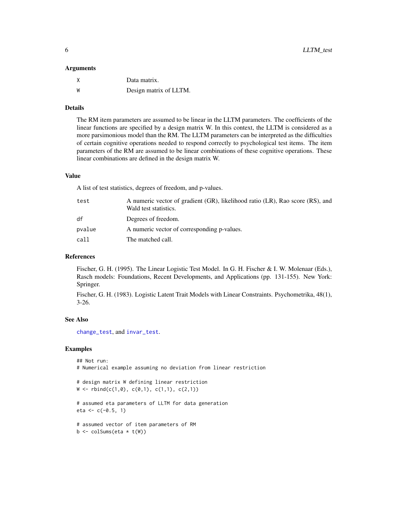#### <span id="page-5-0"></span>Arguments

|   | Data matrix.           |
|---|------------------------|
| W | Design matrix of LLTM. |

#### Details

The RM item parameters are assumed to be linear in the LLTM parameters. The coefficients of the linear functions are specified by a design matrix W. In this context, the LLTM is considered as a more parsimonious model than the RM. The LLTM parameters can be interpreted as the difficulties of certain cognitive operations needed to respond correctly to psychological test items. The item parameters of the RM are assumed to be linear combinations of these cognitive operations. These linear combinations are defined in the design matrix W.

#### Value

A list of test statistics, degrees of freedom, and p-values.

| test   | A numeric vector of gradient (GR), likelihood ratio (LR), Rao score (RS), and<br>Wald test statistics. |
|--------|--------------------------------------------------------------------------------------------------------|
| df     | Degrees of freedom.                                                                                    |
| pvalue | A numeric vector of corresponding p-values.                                                            |
| call   | The matched call.                                                                                      |
|        |                                                                                                        |

## References

Fischer, G. H. (1995). The Linear Logistic Test Model. In G. H. Fischer & I. W. Molenaar (Eds.), Rasch models: Foundations, Recent Developments, and Applications (pp. 131-155). New York: Springer.

Fischer, G. H. (1983). Logistic Latent Trait Models with Linear Constraints. Psychometrika, 48(1), 3-26.

#### See Also

[change\\_test](#page-1-1), and [invar\\_test](#page-3-1).

```
## Not run:
# Numerical example assuming no deviation from linear restriction
# design matrix W defining linear restriction
W \leftarrow \text{rbind}(c(1, \emptyset), c(\emptyset, 1), c(1, 1), c(2, 1))# assumed eta parameters of LLTM for data generation
eta <- c(-0.5, 1)# assumed vector of item parameters of RM
b \leftarrow \text{colSums}(\text{eta} \times \text{t(W)})
```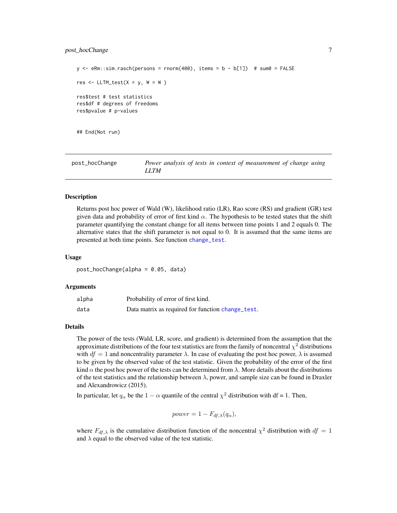## <span id="page-6-0"></span>post\_hocChange 7

```
y \le -eRm::sim.rasch(persons = rnorm(400), items = b - b[1]) # sum = FALSEres \le LLTM_test(X = y, W = W )
res$test # test statistics
res$df # degrees of freedoms
res$pvalue # p-values
```
## End(Not run)

<span id="page-6-1"></span>

| post_hocChange | Power analysis of tests in context of measurement of change using |
|----------------|-------------------------------------------------------------------|
|                | LLTM                                                              |

#### **Description**

Returns post hoc power of Wald (W), likelihood ratio (LR), Rao score (RS) and gradient (GR) test given data and probability of error of first kind  $\alpha$ . The hypothesis to be tested states that the shift parameter quantifying the constant change for all items between time points 1 and 2 equals 0. The alternative states that the shift parameter is not equal to 0. It is assumed that the same items are presented at both time points. See function [change\\_test](#page-1-1).

#### Usage

post\_hocChange(alpha = 0.05, data)

#### Arguments

| alpha | Probability of error of first kind.               |
|-------|---------------------------------------------------|
| data  | Data matrix as required for function change_test. |

#### Details

The power of the tests (Wald, LR, score, and gradient) is determined from the assumption that the approximate distributions of the four test statistics are from the family of noncentral  $\chi^2$  distributions with  $df = 1$  and noncentrality parameter  $\lambda$ . In case of evaluating the post hoc power,  $\lambda$  is assumed to be given by the observed value of the test statistic. Given the probability of the error of the first kind  $\alpha$  the post hoc power of the tests can be determined from  $\lambda$ . More details about the distributions of the test statistics and the relationship between  $\lambda$ , power, and sample size can be found in Draxler and Alexandrowicz (2015).

In particular, let  $q_{\alpha}$  be the  $1 - \alpha$  quantile of the central  $\chi^2$  distribution with df = 1. Then,

$$
power = 1 - F_{df, \lambda}(q_{\alpha}),
$$

where  $F_{df, \lambda}$  is the cumulative distribution function of the noncentral  $\chi^2$  distribution with  $df = 1$ and  $\lambda$  equal to the observed value of the test statistic.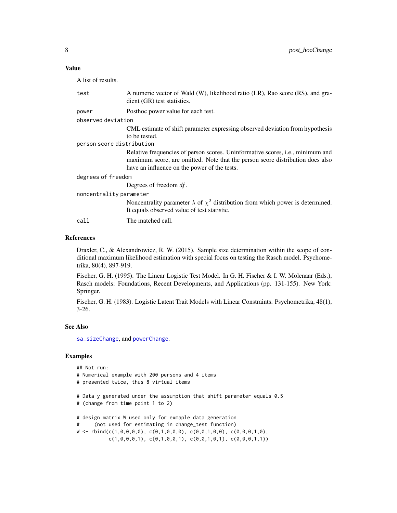## <span id="page-7-0"></span>Value

A list of results.

| test                      | A numeric vector of Wald (W), likelihood ratio (LR), Rao score (RS), and gra-<br>dient (GR) test statistics.                                                            |
|---------------------------|-------------------------------------------------------------------------------------------------------------------------------------------------------------------------|
| power                     | Posthoc power value for each test.                                                                                                                                      |
| observed deviation        |                                                                                                                                                                         |
|                           | CML estimate of shift parameter expressing observed deviation from hypothesis<br>to be tested.                                                                          |
| person score distribution |                                                                                                                                                                         |
|                           | Relative frequencies of person scores. Uninformative scores, <i>i.e.</i> , minimum and<br>maximum score, are omitted. Note that the person score distribution does also |
|                           | have an influence on the power of the tests.                                                                                                                            |
| degrees of freedom        |                                                                                                                                                                         |
|                           | Degrees of freedom $df$ .                                                                                                                                               |
| noncentrality parameter   |                                                                                                                                                                         |
|                           | Noncentrality parameter $\lambda$ of $\chi^2$ distribution from which power is determined.<br>It equals observed value of test statistic.                               |
| call                      | The matched call.                                                                                                                                                       |

#### References

Draxler, C., & Alexandrowicz, R. W. (2015). Sample size determination within the scope of conditional maximum likelihood estimation with special focus on testing the Rasch model. Psychometrika, 80(4), 897-919.

Fischer, G. H. (1995). The Linear Logistic Test Model. In G. H. Fischer & I. W. Molenaar (Eds.), Rasch models: Foundations, Recent Developments, and Applications (pp. 131-155). New York: Springer.

Fischer, G. H. (1983). Logistic Latent Trait Models with Linear Constraints. Psychometrika, 48(1), 3-26.

#### See Also

[sa\\_sizeChange](#page-27-1), and [powerChange](#page-14-1).

```
## Not run:
# Numerical example with 200 persons and 4 items
# presented twice, thus 8 virtual items
# Data y generated under the assumption that shift parameter equals 0.5
# (change from time point 1 to 2)
# design matrix W used only for exmaple data generation
# (not used for estimating in change_test function)
W \leftarrow \text{rbind}(c(1,0,0,0,0), c(0,1,0,0,0), c(0,0,1,0,0), c(0,0,0,1,0),c(1,0,0,0,1), c(0,1,0,0,1), c(0,0,1,0,1), c(0,0,0,1,1))
```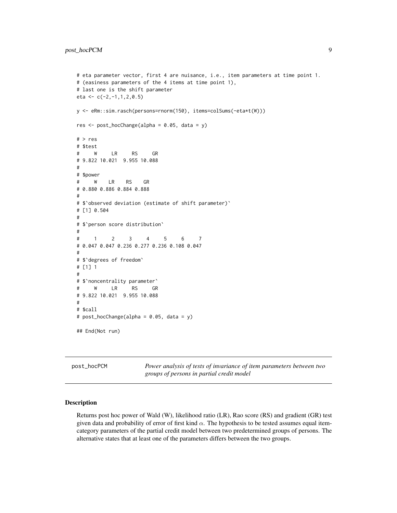```
# eta parameter vector, first 4 are nuisance, i.e., item parameters at time point 1.
# (easiness parameters of the 4 items at time point 1),
# last one is the shift parameter
eta <- c(-2,-1,1,2,0.5)y <- eRm::sim.rasch(persons=rnorm(150), items=colSums(-eta*t(W)))
res \leq post_hocChange(alpha = 0.05, data = y)
# > res
# $test
# W LR RS GR
# 9.822 10.021 9.955 10.088
#
# $power
# W LR RS GR
# 0.880 0.886 0.884 0.888
#
# $`observed deviation (estimate of shift parameter)`
# [1] 0.504
#
# $`person score distribution`
#
# 1 2 3 4 5 6 7
# 0.047 0.047 0.236 0.277 0.236 0.108 0.047
#
# $`degrees of freedom`
# [1] 1
#
# $`noncentrality parameter`
# W LR RS GR
# 9.822 10.021 9.955 10.088
#
# $call
# post_hocChange(alpha = 0.05, data = y)
## End(Not run)
```
<span id="page-8-1"></span>post\_hocPCM *Power analysis of tests of invariance of item parameters between two groups of persons in partial credit model*

## Description

Returns post hoc power of Wald (W), likelihood ratio (LR), Rao score (RS) and gradient (GR) test given data and probability of error of first kind  $\alpha$ . The hypothesis to be tested assumes equal itemcategory parameters of the partial credit model between two predetermined groups of persons. The alternative states that at least one of the parameters differs between the two groups.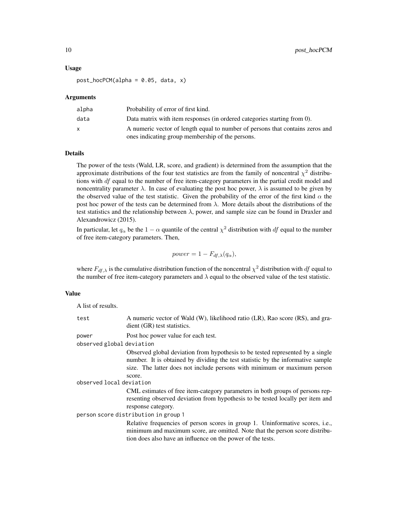#### Usage

 $post\_hocPCM(alpha = 0.05, data, x)$ 

#### Arguments

| alpha | Probability of error of first kind.                                           |
|-------|-------------------------------------------------------------------------------|
| data  | Data matrix with item responses (in ordered categories starting from 0).      |
|       | A numeric vector of length equal to number of persons that contains zeros and |
|       | ones indicating group membership of the persons.                              |

## Details

The power of the tests (Wald, LR, score, and gradient) is determined from the assumption that the approximate distributions of the four test statistics are from the family of noncentral  $\chi^2$  distributions with  $df$  equal to the number of free item-category parameters in the partial credit model and noncentrality parameter  $\lambda$ . In case of evaluating the post hoc power,  $\lambda$  is assumed to be given by the observed value of the test statistic. Given the probability of the error of the first kind  $\alpha$  the post hoc power of the tests can be determined from  $\lambda$ . More details about the distributions of the test statistics and the relationship between  $\lambda$ , power, and sample size can be found in Draxler and Alexandrowicz (2015).

In particular, let  $q_\alpha$  be the  $1 - \alpha$  quantile of the central  $\chi^2$  distribution with  $df$  equal to the number of free item-category parameters. Then,

$$
power = 1 - F_{df, \lambda}(q_{\alpha}),
$$

where  $F_{df,\lambda}$  is the cumulative distribution function of the noncentral  $\chi^2$  distribution with df equal to the number of free item-category parameters and  $\lambda$  equal to the observed value of the test statistic.

#### Value

A list of results.

| test                                 | A numeric vector of Wald (W), likelihood ratio (LR), Rao score (RS), and gra-<br>dient (GR) test statistics.                                                                                                                                            |
|--------------------------------------|---------------------------------------------------------------------------------------------------------------------------------------------------------------------------------------------------------------------------------------------------------|
| power                                | Post hoc power value for each test.                                                                                                                                                                                                                     |
| observed global deviation            |                                                                                                                                                                                                                                                         |
|                                      | Observed global deviation from hypothesis to be tested represented by a single<br>number. It is obtained by dividing the test statistic by the informative sample<br>size. The latter does not include persons with minimum or maximum person<br>score. |
| observed local deviation             |                                                                                                                                                                                                                                                         |
|                                      | CML estimates of free item-category parameters in both groups of persons rep-<br>resenting observed deviation from hypothesis to be tested locally per item and<br>response category.                                                                   |
| person score distribution in group 1 |                                                                                                                                                                                                                                                         |
|                                      | Relative frequencies of person scores in group 1. Uninformative scores, i.e.,<br>minimum and maximum score, are omitted. Note that the person score distribu-<br>tion does also have an influence on the power of the tests.                            |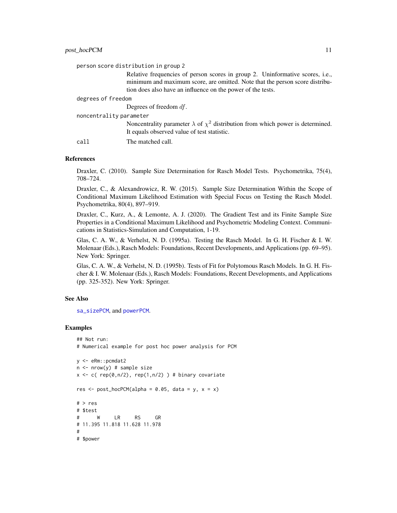<span id="page-10-0"></span>

| person score distribution in group 2 |                                                                                                                                                                                                                              |  |
|--------------------------------------|------------------------------------------------------------------------------------------------------------------------------------------------------------------------------------------------------------------------------|--|
|                                      | Relative frequencies of person scores in group 2. Uninformative scores, i.e.,<br>minimum and maximum score, are omitted. Note that the person score distribu-<br>tion does also have an influence on the power of the tests. |  |
| degrees of freedom                   |                                                                                                                                                                                                                              |  |
|                                      | Degrees of freedom $df$ .                                                                                                                                                                                                    |  |
| noncentrality parameter              |                                                                                                                                                                                                                              |  |
|                                      | Noncentrality parameter $\lambda$ of $\chi^2$ distribution from which power is determined.<br>It equals observed value of test statistic.                                                                                    |  |
| cal l                                | The matched call.                                                                                                                                                                                                            |  |

#### References

Draxler, C. (2010). Sample Size Determination for Rasch Model Tests. Psychometrika, 75(4), 708–724.

Draxler, C., & Alexandrowicz, R. W. (2015). Sample Size Determination Within the Scope of Conditional Maximum Likelihood Estimation with Special Focus on Testing the Rasch Model. Psychometrika, 80(4), 897–919.

Draxler, C., Kurz, A., & Lemonte, A. J. (2020). The Gradient Test and its Finite Sample Size Properties in a Conditional Maximum Likelihood and Psychometric Modeling Context. Communications in Statistics-Simulation and Computation, 1-19.

Glas, C. A. W., & Verhelst, N. D. (1995a). Testing the Rasch Model. In G. H. Fischer & I. W. Molenaar (Eds.), Rasch Models: Foundations, Recent Developments, and Applications (pp. 69–95). New York: Springer.

Glas, C. A. W., & Verhelst, N. D. (1995b). Tests of Fit for Polytomous Rasch Models. In G. H. Fischer & I. W. Molenaar (Eds.), Rasch Models: Foundations, Recent Developments, and Applications (pp. 325-352). New York: Springer.

#### See Also

[sa\\_sizePCM](#page-31-1), and [powerPCM](#page-18-1).

```
## Not run:
# Numerical example for post hoc power analysis for PCM
y <- eRm::pcmdat2
n \leq -nrow(y) # sample size
x \leq c ( rep(0,n/2), rep(1,n/2) ) # binary covariate
res \le post_hocPCM(alpha = 0.05, data = y, x = x)
# > res
# $test
# W LR RS GR
# 11.395 11.818 11.628 11.978
#
# $power
```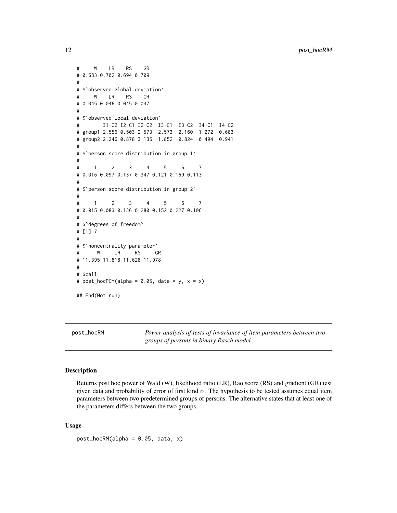```
# W LR RS GR
# 0.683 0.702 0.694 0.709
#
# $`observed global deviation`
# W LR RS GR
# 0.045 0.046 0.045 0.047
#
# $`observed local deviation`
# I1-C2 I2-C1 I2-C2 I3-C1 I3-C2 I4-C1 I4-C2
# group1 2.556 0.503 2.573 -2.573 -2.160 -1.272 -0.683
# group2 2.246 0.878 3.135 -1.852 -0.824 -0.494 0.941
#
# $`person score distribution in group 1`
#
# 1 2 3 4 5 6 7
# 0.016 0.097 0.137 0.347 0.121 0.169 0.113
#
# $`person score distribution in group 2`
#
# 1 2 3 4 5 6 7
# 0.015 0.083 0.136 0.280 0.152 0.227 0.106
#
# $`degrees of freedom`
# [1] 7
#
# $`noncentrality parameter`
# W LR RS GR
# 11.395 11.818 11.628 11.978
#
# $call
# post\_hocPCM(alpha = 0.05, data = y, x = x)## End(Not run)
```
<span id="page-11-1"></span>

post\_hocRM *Power analysis of tests of invariance of item parameters between two groups of persons in binary Rasch model*

#### Description

Returns post hoc power of Wald (W), likelihood ratio (LR), Rao score (RS) and gradient (GR) test given data and probability of error of first kind  $\alpha$ . The hypothesis to be tested assumes equal item parameters between two predetermined groups of persons. The alternative states that at least one of the parameters differs between the two groups.

#### Usage

```
post\_hocRM(alpha = 0.05, data, x)
```
<span id="page-11-0"></span>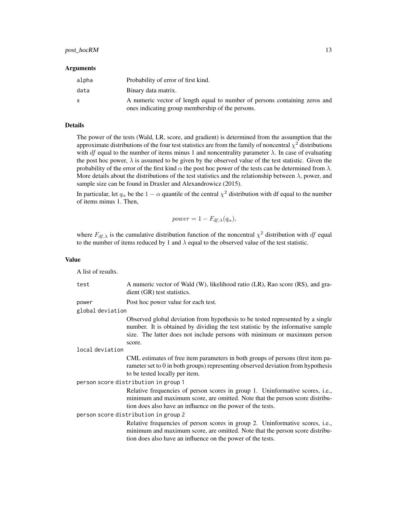#### post\_hocRM 13

#### Arguments

| alpha | Probability of error of first kind.                                        |
|-------|----------------------------------------------------------------------------|
| data  | Binary data matrix.                                                        |
| X     | A numeric vector of length equal to number of persons containing zeros and |
|       | ones indicating group membership of the persons.                           |

## Details

The power of the tests (Wald, LR, score, and gradient) is determined from the assumption that the approximate distributions of the four test statistics are from the family of noncentral  $\chi^2$  distributions with df equal to the number of items minus 1 and noncentrality parameter  $\lambda$ . In case of evaluating the post hoc power,  $\lambda$  is assumed to be given by the observed value of the test statistic. Given the probability of the error of the first kind  $\alpha$  the post hoc power of the tests can be determined from  $\lambda$ . More details about the distributions of the test statistics and the relationship between  $\lambda$ , power, and sample size can be found in Draxler and Alexandrowicz (2015).

In particular, let  $q_\alpha$  be the  $1 - \alpha$  quantile of the central  $\chi^2$  distribution with df equal to the number of items minus 1. Then,

$$
power = 1 - F_{df, \lambda}(q_{\alpha}),
$$

where  $F_{df, \lambda}$  is the cumulative distribution function of the noncentral  $\chi^2$  distribution with df equal to the number of items reduced by 1 and  $\lambda$  equal to the observed value of the test statistic.

#### Value

A list of results.

test A numeric vector of Wald (W), likelihood ratio (LR), Rao score (RS), and gradient (GR) test statistics. power Post hoc power value for each test. global deviation Observed global deviation from hypothesis to be tested represented by a single number. It is obtained by dividing the test statistic by the informative sample size. The latter does not include persons with minimum or maximum person score. local deviation CML estimates of free item parameters in both groups of persons (first item parameter set to 0 in both groups) representing observed deviation from hypothesis to be tested locally per item. person score distribution in group 1 Relative frequencies of person scores in group 1. Uninformative scores, i.e., minimum and maximum score, are omitted. Note that the person score distribution does also have an influence on the power of the tests. person score distribution in group 2 Relative frequencies of person scores in group 2. Uninformative scores, i.e., minimum and maximum score, are omitted. Note that the person score distribution does also have an influence on the power of the tests.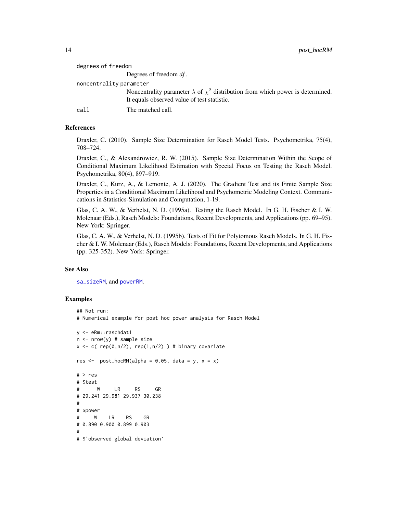<span id="page-13-0"></span>

| degrees of freedom      |                                                                                            |
|-------------------------|--------------------------------------------------------------------------------------------|
|                         | Degrees of freedom $df$ .                                                                  |
| noncentrality parameter |                                                                                            |
|                         | Noncentrality parameter $\lambda$ of $\chi^2$ distribution from which power is determined. |
|                         | It equals observed value of test statistic.                                                |
| call                    | The matched call.                                                                          |
|                         |                                                                                            |

## References

Draxler, C. (2010). Sample Size Determination for Rasch Model Tests. Psychometrika, 75(4), 708–724.

Draxler, C., & Alexandrowicz, R. W. (2015). Sample Size Determination Within the Scope of Conditional Maximum Likelihood Estimation with Special Focus on Testing the Rasch Model. Psychometrika, 80(4), 897–919.

Draxler, C., Kurz, A., & Lemonte, A. J. (2020). The Gradient Test and its Finite Sample Size Properties in a Conditional Maximum Likelihood and Psychometric Modeling Context. Communications in Statistics-Simulation and Computation, 1-19.

Glas, C. A. W., & Verhelst, N. D. (1995a). Testing the Rasch Model. In G. H. Fischer & I. W. Molenaar (Eds.), Rasch Models: Foundations, Recent Developments, and Applications (pp. 69–95). New York: Springer.

Glas, C. A. W., & Verhelst, N. D. (1995b). Tests of Fit for Polytomous Rasch Models. In G. H. Fischer & I. W. Molenaar (Eds.), Rasch Models: Foundations, Recent Developments, and Applications (pp. 325-352). New York: Springer.

#### See Also

[sa\\_sizeRM](#page-36-1), and [powerRM](#page-23-1).

```
## Not run:
# Numerical example for post hoc power analysis for Rasch Model
y <- eRm::raschdat1
n <- nrow(y) # sample size
x \leq c (rep(0,n/2), rep(1,n/2)) # binary covariate
res \leq post_hocRM(alpha = 0.05, data = y, x = x)
# > res
# $test
# W LR RS GR
# 29.241 29.981 29.937 30.238
#
# $power
# W LR RS GR
# 0.890 0.900 0.899 0.903
#
# $`observed global deviation`
```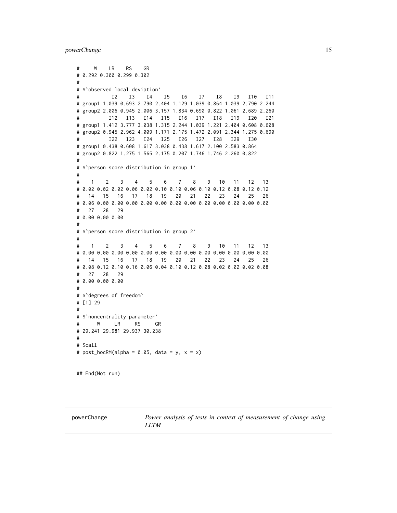<span id="page-14-0"></span>powerChange 15

# W LR RS GR # 0.292 0.300 0.299 0.302 # # \$`observed local deviation` # I2 I3 I4 I5 I6 I7 I8 I9 I10 I11 # group1 1.039 0.693 2.790 2.404 1.129 1.039 0.864 1.039 2.790 2.244 # group2 2.006 0.945 2.006 3.157 1.834 0.690 0.822 1.061 2.689 2.260 # I12 I13 I14 I15 I16 I17 I18 I19 I20 I21 # group1 1.412 3.777 3.038 1.315 2.244 1.039 1.221 2.404 0.608 0.608 # group2 0.945 2.962 4.009 1.171 2.175 1.472 2.091 2.344 1.275 0.690 # I22 I23 I24 I25 I26 I27 I28 I29 I30 # group1 0.438 0.608 1.617 3.038 0.438 1.617 2.100 2.583 0.864 # group2 0.822 1.275 1.565 2.175 0.207 1.746 1.746 2.260 0.822 # # \$`person score distribution in group 1` # # 1 2 3 4 5 6 7 8 9 10 11 12 13 # 0.02 0.02 0.02 0.06 0.02 0.10 0.10 0.06 0.10 0.12 0.08 0.12 0.12 # 14 15 16 17 18 19 20 21 22 23 24 25 26 # 0.06 0.00 0.00 0.00 0.00 0.00 0.00 0.00 0.00 0.00 0.00 0.00 0.00 # 27 28 29 # 0.00 0.00 0.00 # # \$`person score distribution in group 2` # # 1 2 3 4 5 6 7 8 9 10 11 12 13 # 0.00 0.00 0.00 0.00 0.00 0.00 0.00 0.00 0.00 0.00 0.00 0.00 0.00 # 14 15 16 17 18 19 20 21 22 23 24 25 26 # 0.08 0.12 0.10 0.16 0.06 0.04 0.10 0.12 0.08 0.02 0.02 0.02 0.08 # 27 28 29 # 0.00 0.00 0.00 # # \$`degrees of freedom` # [1] 29 # # \$`noncentrality parameter` # W LR RS GR # 29.241 29.981 29.937 30.238 # # \$call #  $post\_hocRM(alpha = 0.05, data = y, x = x)$ 

## End(Not run)

<span id="page-14-1"></span>powerChange *Power analysis of tests in context of measurement of change using LLTM*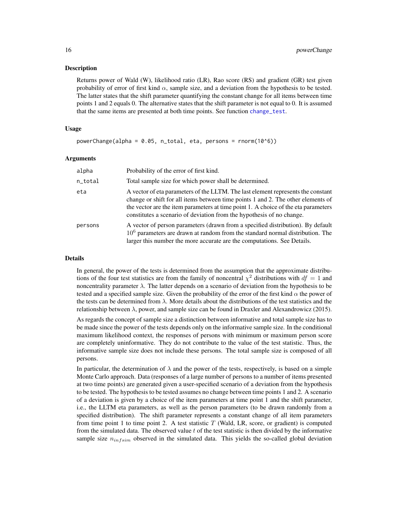#### <span id="page-15-0"></span>Description

Returns power of Wald (W), likelihood ratio (LR), Rao score (RS) and gradient (GR) test given probability of error of first kind  $\alpha$ , sample size, and a deviation from the hypothesis to be tested. The latter states that the shift parameter quantifying the constant change for all items between time points 1 and 2 equals 0. The alternative states that the shift parameter is not equal to 0. It is assumed that the same items are presented at both time points. See function [change\\_test](#page-1-1).

## Usage

powerChange(alpha = 0.05, n\_total, eta, persons = rnorm(10^6))

#### Arguments

| alpha   | Probability of the error of first kind.                                                                                                                                                                                                                                                                                             |
|---------|-------------------------------------------------------------------------------------------------------------------------------------------------------------------------------------------------------------------------------------------------------------------------------------------------------------------------------------|
| n_total | Total sample size for which power shall be determined.                                                                                                                                                                                                                                                                              |
| eta     | A vector of eta parameters of the LLTM. The last element represents the constant<br>change or shift for all items between time points 1 and 2. The other elements of<br>the vector are the item parameters at time point 1. A choice of the eta parameters<br>constitutes a scenario of deviation from the hypothesis of no change. |
| persons | A vector of person parameters (drawn from a specified distribution). By default<br>$106$ parameters are drawn at random from the standard normal distribution. The<br>larger this number the more accurate are the computations. See Details.                                                                                       |

#### Details

In general, the power of the tests is determined from the assumption that the approximate distributions of the four test statistics are from the family of noncentral  $\chi^2$  distributions with  $df = 1$  and noncentrality parameter  $\lambda$ . The latter depends on a scenario of deviation from the hypothesis to be tested and a specified sample size. Given the probability of the error of the first kind  $\alpha$  the power of the tests can be determined from  $\lambda$ . More details about the distributions of the test statistics and the relationship between  $\lambda$ , power, and sample size can be found in Draxler and Alexandrowicz (2015).

As regards the concept of sample size a distinction between informative and total sample size has to be made since the power of the tests depends only on the informative sample size. In the conditional maximum likelihood context, the responses of persons with minimum or maximum person score are completely uninformative. They do not contribute to the value of the test statistic. Thus, the informative sample size does not include these persons. The total sample size is composed of all persons.

In particular, the determination of  $\lambda$  and the power of the tests, respectively, is based on a simple Monte Carlo approach. Data (responses of a large number of persons to a number of items presented at two time points) are generated given a user-specified scenario of a deviation from the hypothesis to be tested. The hypothesis to be tested assumes no change between time points 1 and 2. A scenario of a deviation is given by a choice of the item parameters at time point 1 and the shift parameter, i.e., the LLTM eta parameters, as well as the person parameters (to be drawn randomly from a specified distribution). The shift parameter represents a constant change of all item parameters from time point 1 to time point 2. A test statistic  $T$  (Wald, LR, score, or gradient) is computed from the simulated data. The observed value  $t$  of the test statistic is then divided by the informative sample size  $n_{infsim}$  observed in the simulated data. This yields the so-called global deviation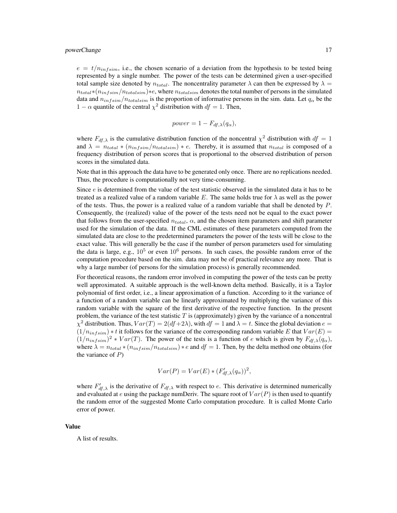#### powerChange 17

 $e = t/n_{infsim}$ , i.e., the chosen scenario of a deviation from the hypothesis to be tested being represented by a single number. The power of the tests can be determined given a user-specified total sample size denoted by  $n_{total}$ . The noncentrality parameter  $\lambda$  can then be expressed by  $\lambda =$  $n_{total}*(n_{infsim}/n_{totalsim})$ ∗e, where  $n_{totalsim}$  denotes the total number of persons in the simulated data and  $n_{infsim}/n_{totalsim}$  is the proportion of informative persons in the sim. data. Let  $q_{\alpha}$  be the 1 –  $\alpha$  quantile of the central  $\chi^2$  distribution with  $df = 1$ . Then,

$$
power = 1 - F_{df, \lambda}(q_{\alpha}),
$$

where  $F_{df, \lambda}$  is the cumulative distribution function of the noncentral  $\chi^2$  distribution with  $df = 1$ and  $\lambda = n_{total} * (n_{infsim}/n_{totalsim}) * e$ . Thereby, it is assumed that  $n_{total}$  is composed of a frequency distribution of person scores that is proportional to the observed distribution of person scores in the simulated data.

Note that in this approach the data have to be generated only once. There are no replications needed. Thus, the procedure is computationally not very time-consuming.

Since *e* is determined from the value of the test statistic observed in the simulated data it has to be treated as a realized value of a random variable E. The same holds true for  $\lambda$  as well as the power of the tests. Thus, the power is a realized value of a random variable that shall be denoted by  $P$ . Consequently, the (realized) value of the power of the tests need not be equal to the exact power that follows from the user-specified  $n_{total}$ ,  $\alpha$ , and the chosen item parameters and shift parameter used for the simulation of the data. If the CML estimates of these parameters computed from the simulated data are close to the predetermined parameters the power of the tests will be close to the exact value. This will generally be the case if the number of person parameters used for simulating the data is large, e.g.,  $10^5$  or even  $10^6$  persons. In such cases, the possible random error of the computation procedure based on the sim. data may not be of practical relevance any more. That is why a large number (of persons for the simulation process) is generally recommended.

For theoretical reasons, the random error involved in computing the power of the tests can be pretty well approximated. A suitable approach is the well-known delta method. Basically, it is a Taylor polynomial of first order, i.e., a linear approximation of a function. According to it the variance of a function of a random variable can be linearly approximated by multiplying the variance of this random variable with the square of the first derivative of the respective function. In the present problem, the variance of the test statistic  $T$  is (approximately) given by the variance of a noncentral  $\chi^2$  distribution. Thus,  $Var(T) = 2(df+2\lambda)$ , with  $df = 1$  and  $\lambda = t$ . Since the global deviation  $e =$  $(1/n_{infsim}) * t$  it follows for the variance of the corresponding random variable E that  $Var(E)$  =  $(1/n_{infsim})^2 * Var(T)$ . The power of the tests is a function of e which is given by  $F_{df,\lambda}(q_\alpha)$ , where  $\lambda = n_{total} * (n_{infsim}/n_{totalsim}) * e$  and  $df = 1$ . Then, by the delta method one obtains (for the variance of  $P$ )

$$
Var(P) = Var(E) * (F'_{df,\lambda}(q_{\alpha}))^{2},
$$

where  $F'_{df, \lambda}$  is the derivative of  $F_{df, \lambda}$  with respect to e. This derivative is determined numerically and evaluated at e using the package numDeriv. The square root of  $Var(P)$  is then used to quantify the random error of the suggested Monte Carlo computation procedure. It is called Monte Carlo error of power.

#### Value

A list of results.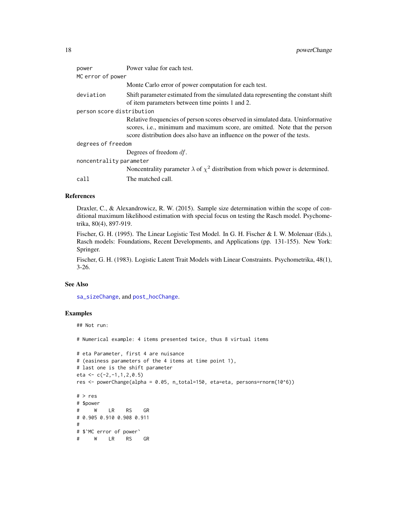<span id="page-17-0"></span>

| Power value for each test.                                                                                                                                                                                                                 |  |  |
|--------------------------------------------------------------------------------------------------------------------------------------------------------------------------------------------------------------------------------------------|--|--|
| MC error of power                                                                                                                                                                                                                          |  |  |
| Monte Carlo error of power computation for each test.                                                                                                                                                                                      |  |  |
| Shift parameter estimated from the simulated data representing the constant shift<br>of item parameters between time points 1 and 2.                                                                                                       |  |  |
| person score distribution                                                                                                                                                                                                                  |  |  |
| Relative frequencies of person scores observed in simulated data. Uninformative<br>scores, i.e., minimum and maximum score, are omitted. Note that the person<br>score distribution does also have an influence on the power of the tests. |  |  |
| degrees of freedom                                                                                                                                                                                                                         |  |  |
| Degrees of freedom $df$ .                                                                                                                                                                                                                  |  |  |
| noncentrality parameter                                                                                                                                                                                                                    |  |  |
| Noncentrality parameter $\lambda$ of $\chi^2$ distribution from which power is determined.                                                                                                                                                 |  |  |
| The matched call.                                                                                                                                                                                                                          |  |  |
|                                                                                                                                                                                                                                            |  |  |

## References

Draxler, C., & Alexandrowicz, R. W. (2015). Sample size determination within the scope of conditional maximum likelihood estimation with special focus on testing the Rasch model. Psychometrika, 80(4), 897-919.

Fischer, G. H. (1995). The Linear Logistic Test Model. In G. H. Fischer & I. W. Molenaar (Eds.), Rasch models: Foundations, Recent Developments, and Applications (pp. 131-155). New York: Springer.

Fischer, G. H. (1983). Logistic Latent Trait Models with Linear Constraints. Psychometrika, 48(1), 3-26.

## See Also

[sa\\_sizeChange](#page-27-1), and [post\\_hocChange](#page-6-1).

```
## Not run:
# Numerical example: 4 items presented twice, thus 8 virtual items
# eta Parameter, first 4 are nuisance
# (easiness parameters of the 4 items at time point 1),
# last one is the shift parameter
eta <- c(-2,-1,1,2,0.5)
res <- powerChange(alpha = 0.05, n_total=150, eta=eta, persons=rnorm(10^6))
# > res
# $power
# W LR RS GR
# 0.905 0.910 0.908 0.911
#
# $`MC error of power`
# W LR RS GR
```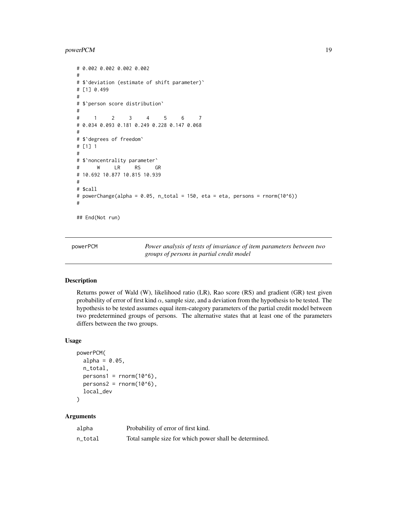## <span id="page-18-0"></span>powerPCM 19

```
# 0.002 0.002 0.002 0.002
#
# $`deviation (estimate of shift parameter)`
# [1] 0.499
#
# $`person score distribution`
#
# 1 2 3 4 5 6 7
# 0.034 0.093 0.181 0.249 0.228 0.147 0.068
#
# $`degrees of freedom`
# [1] 1
#
# $`noncentrality parameter`
# W LR RS GR
# 10.692 10.877 10.815 10.939
#
# $call
# powerChange(alpha = 0.05, n_total = 150, eta = eta, persons = rnorm(10^6))
#
## End(Not run)
```
<span id="page-18-1"></span>powerPCM *Power analysis of tests of invariance of item parameters between two groups of persons in partial credit model*

#### Description

Returns power of Wald (W), likelihood ratio (LR), Rao score (RS) and gradient (GR) test given probability of error of first kind  $\alpha$ , sample size, and a deviation from the hypothesis to be tested. The hypothesis to be tested assumes equal item-category parameters of the partial credit model between two predetermined groups of persons. The alternative states that at least one of the parameters differs between the two groups.

#### Usage

```
powerPCM(
  alpha = 0.05,
  n_total,
  persons1 = rnorm(10<sup>0</sup>6),
  persons2 = rnorm(10<sup>0</sup>6),local_dev
\mathcal{E}
```
## Arguments

| alpha   | Probability of error of first kind.                    |
|---------|--------------------------------------------------------|
| n_total | Total sample size for which power shall be determined. |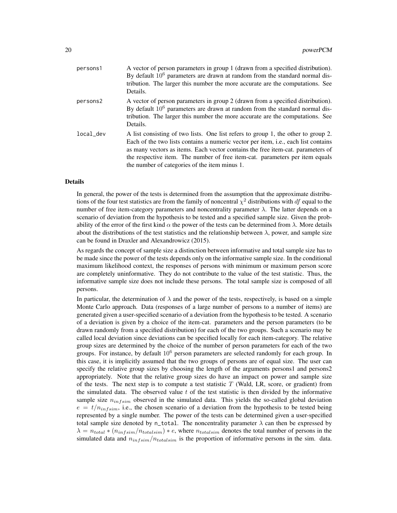| persons1  | A vector of person parameters in group 1 (drawn from a specified distribution).<br>By default $10^6$ parameters are drawn at random from the standard normal dis-<br>tribution. The larger this number the more accurate are the computations. See<br>Details.                                                                                                                                      |
|-----------|-----------------------------------------------------------------------------------------------------------------------------------------------------------------------------------------------------------------------------------------------------------------------------------------------------------------------------------------------------------------------------------------------------|
| persons2  | A vector of person parameters in group 2 (drawn from a specified distribution).<br>By default $10^6$ parameters are drawn at random from the standard normal dis-<br>tribution. The larger this number the more accurate are the computations. See<br>Details.                                                                                                                                      |
| local_dev | A list consisting of two lists. One list refers to group 1, the other to group 2.<br>Each of the two lists contains a numeric vector per item, <i>i.e.</i> , each list contains<br>as many vectors as items. Each vector contains the free item-cat. parameters of<br>the respective item. The number of free item-cat. parameters per item equals<br>the number of categories of the item minus 1. |

## Details

In general, the power of the tests is determined from the assumption that the approximate distributions of the four test statistics are from the family of noncentral  $\chi^2$  distributions with df equal to the number of free item-category parameters and noncentrality parameter  $\lambda$ . The latter depends on a scenario of deviation from the hypothesis to be tested and a specified sample size. Given the probability of the error of the first kind  $\alpha$  the power of the tests can be determined from  $\lambda$ . More details about the distributions of the test statistics and the relationship between  $\lambda$ , power, and sample size can be found in Draxler and Alexandrowicz (2015).

As regards the concept of sample size a distinction between informative and total sample size has to be made since the power of the tests depends only on the informative sample size. In the conditional maximum likelihood context, the responses of persons with minimum or maximum person score are completely uninformative. They do not contribute to the value of the test statistic. Thus, the informative sample size does not include these persons. The total sample size is composed of all persons.

In particular, the determination of  $\lambda$  and the power of the tests, respectively, is based on a simple Monte Carlo approach. Data (responses of a large number of persons to a number of items) are generated given a user-specified scenario of a deviation from the hypothesis to be tested. A scenario of a deviation is given by a choice of the item-cat. parameters and the person parameters (to be drawn randomly from a specified distribution) for each of the two groups. Such a scenario may be called local deviation since deviations can be specified locally for each item-category. The relative group sizes are determined by the choice of the number of person parameters for each of the two groups. For instance, by default  $10^6$  person parameters are selected randomly for each group. In this case, it is implicitly assumed that the two groups of persons are of equal size. The user can specify the relative group sizes by choosing the length of the arguments persons1 and persons2 appropriately. Note that the relative group sizes do have an impact on power and sample size of the tests. The next step is to compute a test statistic  $T$  (Wald, LR, score, or gradient) from the simulated data. The observed value  $t$  of the test statistic is then divided by the informative sample size  $n_{infsim}$  observed in the simulated data. This yields the so-called global deviation  $e = t/n_{infsim}$ , i.e., the chosen scenario of a deviation from the hypothesis to be tested being represented by a single number. The power of the tests can be determined given a user-specified total sample size denoted by n\_total. The noncentrality parameter  $\lambda$  can then be expressed by  $\lambda = n_{total} * (n_{infsim}/n_{totalsim}) * e$ , where  $n_{totalsim}$  denotes the total number of persons in the simulated data and  $n_{infsim}/n_{totalsim}$  is the proportion of informative persons in the sim. data.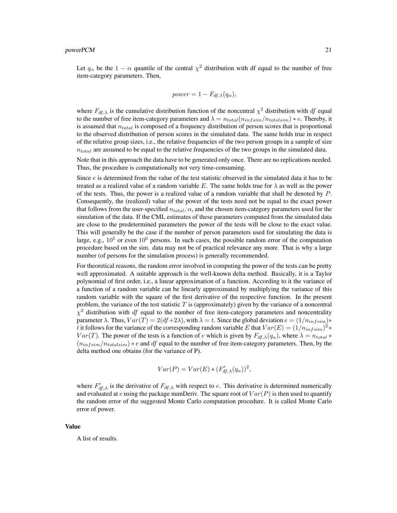$$
power = 1 - F_{df, \lambda}(q_{\alpha}),
$$

where  $F_{df, \lambda}$  is the cumulative distribution function of the noncentral  $\chi^2$  distribution with df equal to the number of free item-category parameters and  $\lambda = n_{total}(n_{infsim}/n_{totalsim}) * e$ . Thereby, it is assumed that  $n_{total}$  is composed of a frequency distribution of person scores that is proportional to the observed distribution of person scores in the simulated data. The same holds true in respect of the relative group sizes, i.e., the relative frequencies of the two person groups in a sample of size  $n_{total}$  are assumed to be equal to the relative frequencies of the two groups in the simulated data.

Note that in this approach the data have to be generated only once. There are no replications needed. Thus, the procedure is computationally not very time-consuming.

Since *e* is determined from the value of the test statistic observed in the simulated data it has to be treated as a realized value of a random variable E. The same holds true for  $\lambda$  as well as the power of the tests. Thus, the power is a realized value of a random variable that shall be denoted by  $P$ . Consequently, the (realized) value of the power of the tests need not be equal to the exact power that follows from the user-specified  $n_{total}$ ,  $\alpha$ , and the chosen item-category parameters used for the simulation of the data. If the CML estimates of these parameters computed from the simulated data are close to the predetermined parameters the power of the tests will be close to the exact value. This will generally be the case if the number of person parameters used for simulating the data is large, e.g.,  $10^5$  or even  $10^6$  persons. In such cases, the possible random error of the computation procedure based on the sim. data may not be of practical relevance any more. That is why a large number (of persons for the simulation process) is generally recommended.

For theoretical reasons, the random error involved in computing the power of the tests can be pretty well approximated. A suitable approach is the well-known delta method. Basically, it is a Taylor polynomial of first order, i.e., a linear approximation of a function. According to it the variance of a function of a random variable can be linearly approximated by multiplying the variance of this random variable with the square of the first derivative of the respective function. In the present problem, the variance of the test statistic  $T$  is (approximately) given by the variance of a noncentral  $\chi^2$  distribution with df equal to the number of free item-category parameters and noncentrality parameter  $\lambda$ . Thus,  $Var(T) = 2(df+2\lambda)$ , with  $\lambda = t$ . Since the global deviation  $e = (1/n_{infsim})$ \* t it follows for the variance of the corresponding random variable E that  $Var(E) = (1/n_{infsim})^2 *$  $Var(T)$ . The power of the tests is a function of e which is given by  $F_{df,\lambda}(q_\alpha)$ , where  $\lambda = n_{total} *$  $(n_{infsim}/n_{totalsim}) * e$  and df equal to the number of free item-category parameters. Then, by the delta method one obtains (for the variance of P).

$$
Var(P) = Var(E) * (F'_{df,\lambda}(q_{\alpha}))^{2},
$$

where  $F'_{df,\lambda}$  is the derivative of  $F_{df,\lambda}$  with respect to e. This derivative is determined numerically and evaluated at e using the package numDeriv. The square root of  $Var(P)$  is then used to quantify the random error of the suggested Monte Carlo computation procedure. It is called Monte Carlo error of power.

#### Value

A list of results.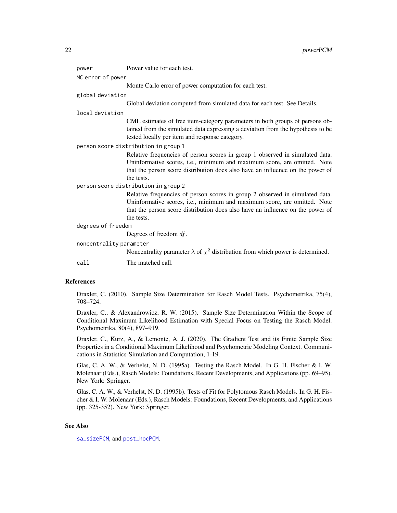<span id="page-21-0"></span>

| power                                | Power value for each test.                                                                                                                                                                                                                               |  |
|--------------------------------------|----------------------------------------------------------------------------------------------------------------------------------------------------------------------------------------------------------------------------------------------------------|--|
| MC error of power                    |                                                                                                                                                                                                                                                          |  |
|                                      | Monte Carlo error of power computation for each test.                                                                                                                                                                                                    |  |
| global deviation                     |                                                                                                                                                                                                                                                          |  |
|                                      | Global deviation computed from simulated data for each test. See Details.                                                                                                                                                                                |  |
| local deviation                      |                                                                                                                                                                                                                                                          |  |
|                                      | CML estimates of free item-category parameters in both groups of persons ob-<br>tained from the simulated data expressing a deviation from the hypothesis to be<br>tested locally per item and response category.                                        |  |
| person score distribution in group 1 |                                                                                                                                                                                                                                                          |  |
|                                      | Relative frequencies of person scores in group 1 observed in simulated data.<br>Uninformative scores, i.e., minimum and maximum score, are omitted. Note<br>that the person score distribution does also have an influence on the power of<br>the tests. |  |
|                                      | person score distribution in group 2                                                                                                                                                                                                                     |  |
|                                      | Relative frequencies of person scores in group 2 observed in simulated data.<br>Uninformative scores, i.e., minimum and maximum score, are omitted. Note<br>that the person score distribution does also have an influence on the power of<br>the tests. |  |
| degrees of freedom                   |                                                                                                                                                                                                                                                          |  |
|                                      | Degrees of freedom $df$ .                                                                                                                                                                                                                                |  |
| noncentrality parameter              |                                                                                                                                                                                                                                                          |  |
|                                      | Noncentrality parameter $\lambda$ of $\chi^2$ distribution from which power is determined.                                                                                                                                                               |  |
| call                                 | The matched call.                                                                                                                                                                                                                                        |  |

## References

Draxler, C. (2010). Sample Size Determination for Rasch Model Tests. Psychometrika, 75(4), 708–724.

Draxler, C., & Alexandrowicz, R. W. (2015). Sample Size Determination Within the Scope of Conditional Maximum Likelihood Estimation with Special Focus on Testing the Rasch Model. Psychometrika, 80(4), 897–919.

Draxler, C., Kurz, A., & Lemonte, A. J. (2020). The Gradient Test and its Finite Sample Size Properties in a Conditional Maximum Likelihood and Psychometric Modeling Context. Communications in Statistics-Simulation and Computation, 1-19.

Glas, C. A. W., & Verhelst, N. D. (1995a). Testing the Rasch Model. In G. H. Fischer & I. W. Molenaar (Eds.), Rasch Models: Foundations, Recent Developments, and Applications (pp. 69–95). New York: Springer.

Glas, C. A. W., & Verhelst, N. D. (1995b). Tests of Fit for Polytomous Rasch Models. In G. H. Fischer & I. W. Molenaar (Eds.), Rasch Models: Foundations, Recent Developments, and Applications (pp. 325-352). New York: Springer.

## See Also

[sa\\_sizePCM](#page-31-1), and [post\\_hocPCM](#page-8-1).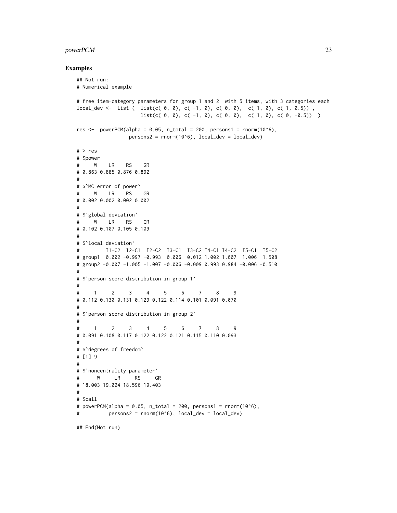## powerPCM 23

```
## Not run:
# Numerical example
# free item-category parameters for group 1 and 2 with 5 items, with 3 categories each
local_dev <- list ( list(c( 0, 0), c( -1, 0), c( 0, 0), c( 1, 0), c( 1, 0.5)) ,
                   list(c( 0, 0), c( -1, 0), c( 0, 0), c( 1, 0), c( 0, -0.5)) )res \leq powerPCM(alpha = 0.05, n_total = 200, persons1 = rnorm(10^6),
                persons2 = rnorm(10<sup>6</sup>), local\_dev = local\_dev)# > res
# $power
# W LR RS GR
# 0.863 0.885 0.876 0.892
#
# $`MC error of power`
# W LR RS GR
# 0.002 0.002 0.002 0.002
#
# $`global deviation`
# W LR RS GR
# 0.102 0.107 0.105 0.109
#
# $`local deviation`
# I1-C2 I2-C1 I2-C2 I3-C1 I3-C2 I4-C1 I4-C2 I5-C1 I5-C2
# group1 0.002 -0.997 -0.993 0.006 0.012 1.002 1.007 1.006 1.508
# group2 -0.007 -1.005 -1.007 -0.006 -0.009 0.993 0.984 -0.006 -0.510
#
# $`person score distribution in group 1`
#
# 1 2 3 4 5 6 7 8 9
# 0.112 0.130 0.131 0.129 0.122 0.114 0.101 0.091 0.070
#
# $`person score distribution in group 2`
#
# 1 2 3 4 5 6 7 8 9
# 0.091 0.108 0.117 0.122 0.122 0.121 0.115 0.110 0.093
#
# $`degrees of freedom`
# [1] 9
#
# $`noncentrality parameter`
# W LR RS GR
# 18.003 19.024 18.596 19.403
#
# $call
# powerPCM(alpha = 0.05, n_total = 200, persons1 = rnorm(10^6),
# persons2 = rnorm(10^6), local_dev = local_dev)
## End(Not run)
```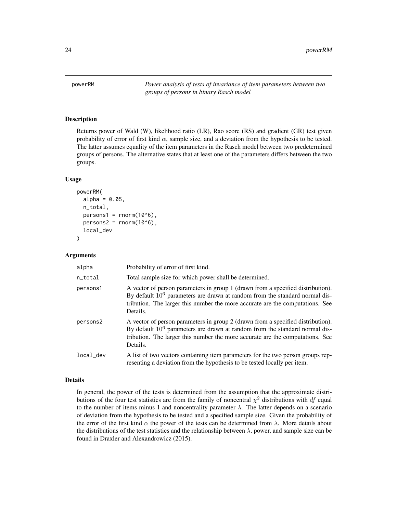<span id="page-23-1"></span><span id="page-23-0"></span>powerRM *Power analysis of tests of invariance of item parameters between two groups of persons in binary Rasch model*

#### Description

Returns power of Wald (W), likelihood ratio (LR), Rao score (RS) and gradient (GR) test given probability of error of first kind  $\alpha$ , sample size, and a deviation from the hypothesis to be tested. The latter assumes equality of the item parameters in the Rasch model between two predetermined groups of persons. The alternative states that at least one of the parameters differs between the two groups.

#### Usage

```
powerRM(
  alpha = 0.05,
  n_total,
  persons1 = rnorm(10<sup>0</sup>6),persons2 = \text{rnorm}(10^86),
  local_dev
)
```
#### Arguments

| alpha     | Probability of error of first kind.                                                                                                                                                                                                                            |
|-----------|----------------------------------------------------------------------------------------------------------------------------------------------------------------------------------------------------------------------------------------------------------------|
| n_total   | Total sample size for which power shall be determined.                                                                                                                                                                                                         |
| persons1  | A vector of person parameters in group 1 (drawn from a specified distribution).<br>By default $10^6$ parameters are drawn at random from the standard normal dis-<br>tribution. The larger this number the more accurate are the computations. See<br>Details. |
| persons2  | A vector of person parameters in group 2 (drawn from a specified distribution).<br>By default $10^6$ parameters are drawn at random from the standard normal dis-<br>tribution. The larger this number the more accurate are the computations. See<br>Details. |
| local dev | A list of two vectors containing item parameters for the two person groups rep-<br>resenting a deviation from the hypothesis to be tested locally per item.                                                                                                    |

#### Details

In general, the power of the tests is determined from the assumption that the approximate distributions of the four test statistics are from the family of noncentral  $\chi^2$  distributions with df equal to the number of items minus 1 and noncentrality parameter  $\lambda$ . The latter depends on a scenario of deviation from the hypothesis to be tested and a specified sample size. Given the probability of the error of the first kind  $\alpha$  the power of the tests can be determined from  $\lambda$ . More details about the distributions of the test statistics and the relationship between  $\lambda$ , power, and sample size can be found in Draxler and Alexandrowicz (2015).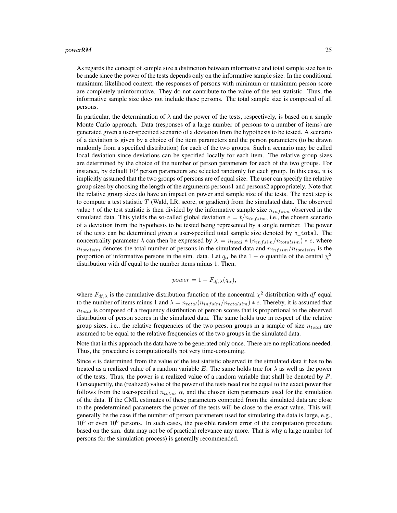As regards the concept of sample size a distinction between informative and total sample size has to be made since the power of the tests depends only on the informative sample size. In the conditional maximum likelihood context, the responses of persons with minimum or maximum person score are completely uninformative. They do not contribute to the value of the test statistic. Thus, the informative sample size does not include these persons. The total sample size is composed of all persons.

In particular, the determination of  $\lambda$  and the power of the tests, respectively, is based on a simple Monte Carlo approach. Data (responses of a large number of persons to a number of items) are generated given a user-specified scenario of a deviation from the hypothesis to be tested. A scenario of a deviation is given by a choice of the item parameters and the person parameters (to be drawn randomly from a specified distribution) for each of the two groups. Such a scenario may be called local deviation since deviations can be specified locally for each item. The relative group sizes are determined by the choice of the number of person parameters for each of the two groups. For instance, by default  $10^6$  person parameters are selected randomly for each group. In this case, it is implicitly assumed that the two groups of persons are of equal size. The user can specify the relative group sizes by choosing the length of the arguments persons1 and persons2 appropriately. Note that the relative group sizes do have an impact on power and sample size of the tests. The next step is to compute a test statistic  $T$  (Wald, LR, score, or gradient) from the simulated data. The observed value t of the test statistic is then divided by the informative sample size  $n_{infsim}$  observed in the simulated data. This yields the so-called global deviation  $e = t/n_{infsim}$ , i.e., the chosen scenario of a deviation from the hypothesis to be tested being represented by a single number. The power of the tests can be determined given a user-specified total sample size denoted by n\_total. The noncentrality parameter  $\lambda$  can then be expressed by  $\lambda = n_{total} * (n_{infsim}/n_{totalsim}) * e$ , where  $n_{totalsim}$  denotes the total number of persons in the simulated data and  $n_{infsim}/n_{totalsim}$  is the proportion of informative persons in the sim. data. Let  $q_\alpha$  be the  $1 - \alpha$  quantile of the central  $\chi^2$ distribution with df equal to the number items minus 1. Then,

$$
power = 1 - F_{df, \lambda}(q_{\alpha}),
$$

where  $F_{df, \lambda}$  is the cumulative distribution function of the noncentral  $\chi^2$  distribution with df equal to the number of items minus 1 and  $\lambda = n_{total}(n_{infsim}/n_{totalsim}) * e$ . Thereby, it is assumed that  $n_{total}$  is composed of a frequency distribution of person scores that is proportional to the observed distribution of person scores in the simulated data. The same holds true in respect of the relative group sizes, i.e., the relative frequencies of the two person groups in a sample of size  $n_{total}$  are assumed to be equal to the relative frequencies of the two groups in the simulated data.

Note that in this approach the data have to be generated only once. There are no replications needed. Thus, the procedure is computationally not very time-consuming.

Since e is determined from the value of the test statistic observed in the simulated data it has to be treated as a realized value of a random variable E. The same holds true for  $\lambda$  as well as the power of the tests. Thus, the power is a realized value of a random variable that shall be denoted by  $P$ . Consequently, the (realized) value of the power of the tests need not be equal to the exact power that follows from the user-specified  $n_{total}$ ,  $\alpha$ , and the chosen item parameters used for the simulation of the data. If the CML estimates of these parameters computed from the simulated data are close to the predetermined parameters the power of the tests will be close to the exact value. This will generally be the case if the number of person parameters used for simulating the data is large, e.g.,  $10<sup>5</sup>$  or even  $10<sup>6</sup>$  persons. In such cases, the possible random error of the computation procedure based on the sim. data may not be of practical relevance any more. That is why a large number (of persons for the simulation process) is generally recommended.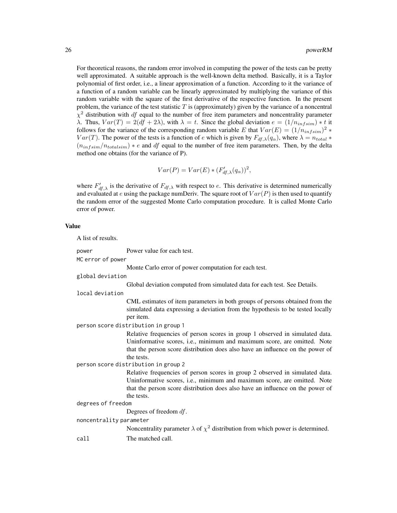For theoretical reasons, the random error involved in computing the power of the tests can be pretty well approximated. A suitable approach is the well-known delta method. Basically, it is a Taylor polynomial of first order, i.e., a linear approximation of a function. According to it the variance of a function of a random variable can be linearly approximated by multiplying the variance of this random variable with the square of the first derivative of the respective function. In the present problem, the variance of the test statistic  $T$  is (approximately) given by the variance of a noncentral  $\chi^2$  distribution with df equal to the number of free item parameters and noncentrality parameter λ. Thus,  $Var(T) = 2(df + 2λ)$ , with  $λ = t$ . Since the global deviation  $e = (1/n_{infsim}) * t$  it follows for the variance of the corresponding random variable E that  $Var(E) = (1/n_{infsim})^2 *$  $Var(T)$ . The power of the tests is a function of e which is given by  $F_{df,\lambda}(q_\alpha)$ , where  $\lambda = n_{total} *$  $(n_{infsim}/n_{totalsim}) * e$  and df equal to the number of free item parameters. Then, by the delta method one obtains (for the variance of P).

$$
Var(P) = Var(E) * (F'_{df,\lambda}(q_{\alpha}))^{2},
$$

where  $F'_{df,\lambda}$  is the derivative of  $F_{df,\lambda}$  with respect to e. This derivative is determined numerically and evaluated at e using the package numDeriv. The square root of  $Var(P)$  is then used to quantify the random error of the suggested Monte Carlo computation procedure. It is called Monte Carlo error of power.

### Value

A list of results. power Power value for each test. MC error of power Monte Carlo error of power computation for each test. global deviation Global deviation computed from simulated data for each test. See Details. local deviation CML estimates of item parameters in both groups of persons obtained from the simulated data expressing a deviation from the hypothesis to be tested locally per item. person score distribution in group 1 Relative frequencies of person scores in group 1 observed in simulated data. Uninformative scores, i.e., minimum and maximum score, are omitted. Note that the person score distribution does also have an influence on the power of the tests. person score distribution in group 2 Relative frequencies of person scores in group 2 observed in simulated data. Uninformative scores, i.e., minimum and maximum score, are omitted. Note that the person score distribution does also have an influence on the power of the tests. degrees of freedom Degrees of freedom df. noncentrality parameter Noncentrality parameter  $\lambda$  of  $\chi^2$  distribution from which power is determined. call The matched call.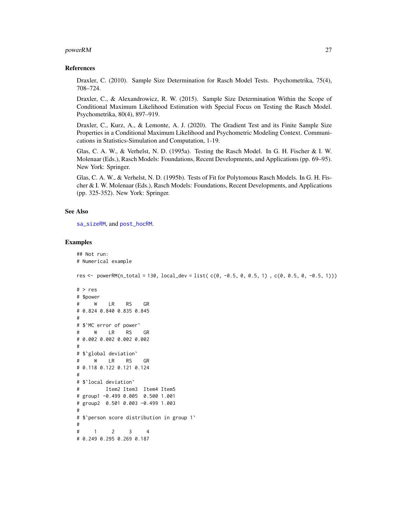#### <span id="page-26-0"></span>powerRM 27

#### References

Draxler, C. (2010). Sample Size Determination for Rasch Model Tests. Psychometrika, 75(4), 708–724.

Draxler, C., & Alexandrowicz, R. W. (2015). Sample Size Determination Within the Scope of Conditional Maximum Likelihood Estimation with Special Focus on Testing the Rasch Model. Psychometrika, 80(4), 897–919.

Draxler, C., Kurz, A., & Lemonte, A. J. (2020). The Gradient Test and its Finite Sample Size Properties in a Conditional Maximum Likelihood and Psychometric Modeling Context. Communications in Statistics-Simulation and Computation, 1-19.

Glas, C. A. W., & Verhelst, N. D. (1995a). Testing the Rasch Model. In G. H. Fischer & I. W. Molenaar (Eds.), Rasch Models: Foundations, Recent Developments, and Applications (pp. 69–95). New York: Springer.

Glas, C. A. W., & Verhelst, N. D. (1995b). Tests of Fit for Polytomous Rasch Models. In G. H. Fischer & I. W. Molenaar (Eds.), Rasch Models: Foundations, Recent Developments, and Applications (pp. 325-352). New York: Springer.

#### See Also

[sa\\_sizeRM](#page-36-1), and [post\\_hocRM](#page-11-1).

```
## Not run:
# Numerical example
res <- powerRM(n_total = 130, local_dev = list( c(0, -0.5, 0, 0.5, 1) , c(0, 0.5, 0, -0.5, 1)))
# > res
# $power
# W LR RS GR
# 0.824 0.840 0.835 0.845
#
# $`MC error of power`
# W LR RS GR
# 0.002 0.002 0.002 0.002
#
# $`global deviation`
# W LR RS GR
# 0.118 0.122 0.121 0.124
#
# $`local deviation`
# Item2 Item3 Item4 Item5
# group1 -0.499 0.005 0.500 1.001
# group2 0.501 0.003 -0.499 1.003
#
# $`person score distribution in group 1`
#
# 1 2 3 4
# 0.249 0.295 0.269 0.187
```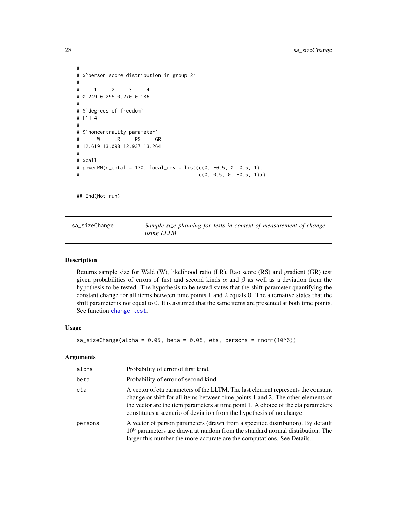```
#
# $`person score distribution in group 2`
#
# 1 2 3 4
# 0.249 0.295 0.270 0.186
#
# $`degrees of freedom`
# [1] 4
#
# $`noncentrality parameter`
# W LR RS GR
# 12.619 13.098 12.937 13.264
#
# $call
# powerRM(n_total = 130, local_dev = list(c(0, -0.5, 0, 0.5, 1),
# c(0, 0.5, 0, -0.5, 1)))
```
## End(Not run)

<span id="page-27-1"></span>sa\_sizeChange *Sample size planning for tests in context of measurement of change using LLTM*

## **Description**

Returns sample size for Wald (W), likelihood ratio (LR), Rao score (RS) and gradient (GR) test given probabilities of errors of first and second kinds  $\alpha$  and  $\beta$  as well as a deviation from the hypothesis to be tested. The hypothesis to be tested states that the shift parameter quantifying the constant change for all items between time points 1 and 2 equals 0. The alternative states that the shift parameter is not equal to 0. It is assumed that the same items are presented at both time points. See function [change\\_test](#page-1-1).

#### Usage

```
sa_sizeChange(alpha = 0.05, beta = 0.05, eta, persons = rnorm(10^6))
```
#### **Arguments**

| alpha   | Probability of error of first kind.                                                                                                                                                                                                                                                                                                 |
|---------|-------------------------------------------------------------------------------------------------------------------------------------------------------------------------------------------------------------------------------------------------------------------------------------------------------------------------------------|
| beta    | Probability of error of second kind.                                                                                                                                                                                                                                                                                                |
| eta     | A vector of eta parameters of the LLTM. The last element represents the constant<br>change or shift for all items between time points 1 and 2. The other elements of<br>the vector are the item parameters at time point 1. A choice of the eta parameters<br>constitutes a scenario of deviation from the hypothesis of no change. |
| persons | A vector of person parameters (drawn from a specified distribution). By default<br>$106$ parameters are drawn at random from the standard normal distribution. The<br>larger this number the more accurate are the computations. See Details.                                                                                       |

<span id="page-27-0"></span>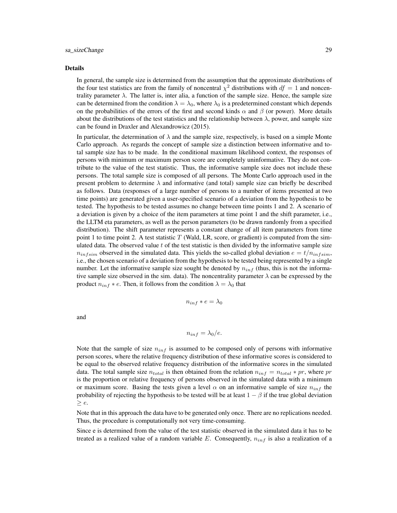#### Details

In general, the sample size is determined from the assumption that the approximate distributions of the four test statistics are from the family of noncentral  $\chi^2$  distributions with  $df = 1$  and noncentrality parameter  $\lambda$ . The latter is, inter alia, a function of the sample size. Hence, the sample size can be determined from the condition  $\lambda = \lambda_0$ , where  $\lambda_0$  is a predetermined constant which depends on the probabilities of the errors of the first and second kinds  $\alpha$  and  $\beta$  (or power). More details about the distributions of the test statistics and the relationship between  $\lambda$ , power, and sample size can be found in Draxler and Alexandrowicz (2015).

In particular, the determination of  $\lambda$  and the sample size, respectively, is based on a simple Monte Carlo approach. As regards the concept of sample size a distinction between informative and total sample size has to be made. In the conditional maximum likelihood context, the responses of persons with minimum or maximum person score are completely uninformative. They do not contribute to the value of the test statistic. Thus, the informative sample size does not include these persons. The total sample size is composed of all persons. The Monte Carlo approach used in the present problem to determine  $\lambda$  and informative (and total) sample size can briefly be described as follows. Data (responses of a large number of persons to a number of items presented at two time points) are generated given a user-specified scenario of a deviation from the hypothesis to be tested. The hypothesis to be tested assumes no change between time points 1 and 2. A scenario of a deviation is given by a choice of the item parameters at time point 1 and the shift parameter, i.e., the LLTM eta parameters, as well as the person parameters (to be drawn randomly from a specified distribution). The shift parameter represents a constant change of all item parameters from time point 1 to time point 2. A test statistic  $T$  (Wald, LR, score, or gradient) is computed from the simulated data. The observed value  $t$  of the test statistic is then divided by the informative sample size  $n_{infsim}$  observed in the simulated data. This yields the so-called global deviation  $e = t/n_{infsim}$ , i.e., the chosen scenario of a deviation from the hypothesis to be tested being represented by a single number. Let the informative sample size sought be denoted by  $n_{inf}$  (thus, this is not the informative sample size observed in the sim. data). The noncentrality parameter  $\lambda$  can be expressed by the product  $n_{inf} * e$ . Then, it follows from the condition  $\lambda = \lambda_0$  that

$$
n_{inf} * e = \lambda_0
$$

and

$$
n_{inf} = \lambda_0/e.
$$

Note that the sample of size  $n_{inf}$  is assumed to be composed only of persons with informative person scores, where the relative frequency distribution of these informative scores is considered to be equal to the observed relative frequency distribution of the informative scores in the simulated data. The total sample size  $n_{total}$  is then obtained from the relation  $n_{inf} = n_{total} * pr$ , where pr is the proportion or relative frequency of persons observed in the simulated data with a minimum or maximum score. Basing the tests given a level  $\alpha$  on an informative sample of size  $n_{inf}$  the probability of rejecting the hypothesis to be tested will be at least  $1 - \beta$  if the true global deviation  $\geq e.$ 

Note that in this approach the data have to be generated only once. There are no replications needed. Thus, the procedure is computationally not very time-consuming.

Since e is determined from the value of the test statistic observed in the simulated data it has to be treated as a realized value of a random variable E. Consequently,  $n_{inf}$  is also a realization of a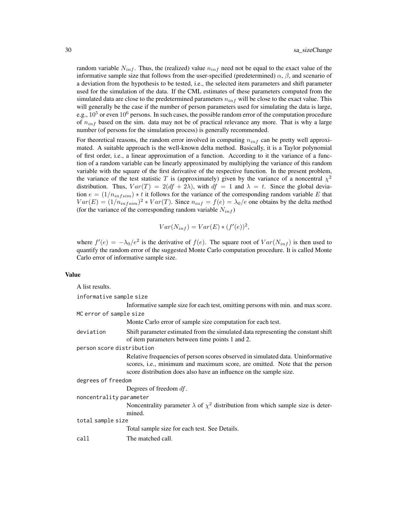random variable  $N_{inf}$ . Thus, the (realized) value  $n_{inf}$  need not be equal to the exact value of the informative sample size that follows from the user-specified (predetermined)  $\alpha$ ,  $\beta$ , and scenario of a deviation from the hypothesis to be tested, i.e., the selected item parameters and shift parameter used for the simulation of the data. If the CML estimates of these parameters computed from the simulated data are close to the predetermined parameters  $n_{inf}$  will be close to the exact value. This will generally be the case if the number of person parameters used for simulating the data is large, e.g.,  $10^5$  or even  $10^6$  persons. In such cases, the possible random error of the computation procedure of  $n_{inf}$  based on the sim. data may not be of practical relevance any more. That is why a large number (of persons for the simulation process) is generally recommended.

For theoretical reasons, the random error involved in computing  $n_{inf}$  can be pretty well approximated. A suitable approach is the well-known delta method. Basically, it is a Taylor polynomial of first order, i.e., a linear approximation of a function. According to it the variance of a function of a random variable can be linearly approximated by multiplying the variance of this random variable with the square of the first derivative of the respective function. In the present problem, the variance of the test statistic T is (approximately) given by the variance of a noncentral  $\chi^2$ distribution. Thus,  $Var(T) = 2(df + 2\lambda)$ , with  $df = 1$  and  $\lambda = t$ . Since the global deviation  $e = (1/n_{infsim}) * t$  it follows for the variance of the corresponding random variable E that  $Var(E) = (1/n_{infsim})^2 * Var(T)$ . Since  $n_{inf} = f(e) = \lambda_0/e$  one obtains by the delta method (for the variance of the corresponding random variable  $N_{inf}$ )

$$
Var(N_{inf}) = Var(E) * (f'(e))^2,
$$

where  $f'(e) = -\lambda_0/e^2$  is the derivative of  $f(e)$ . The square root of  $Var(N_{inf})$  is then used to quantify the random error of the suggested Monte Carlo computation procedure. It is called Monte Carlo error of informative sample size.

#### Value

| A list results.           |                                                                                                                                                                                                                                     |  |
|---------------------------|-------------------------------------------------------------------------------------------------------------------------------------------------------------------------------------------------------------------------------------|--|
| informative sample size   |                                                                                                                                                                                                                                     |  |
|                           | Informative sample size for each test, omitting persons with min. and max score.                                                                                                                                                    |  |
| MC error of sample size   |                                                                                                                                                                                                                                     |  |
|                           | Monte Carlo error of sample size computation for each test.                                                                                                                                                                         |  |
| deviation                 | Shift parameter estimated from the simulated data representing the constant shift<br>of item parameters between time points 1 and 2.                                                                                                |  |
| person score distribution |                                                                                                                                                                                                                                     |  |
|                           | Relative frequencies of person scores observed in simulated data. Uninformative<br>scores, i.e., minimum and maximum score, are omitted. Note that the person<br>score distribution does also have an influence on the sample size. |  |
| degrees of freedom        |                                                                                                                                                                                                                                     |  |
|                           | Degrees of freedom $df$ .                                                                                                                                                                                                           |  |
| noncentrality parameter   |                                                                                                                                                                                                                                     |  |
|                           | Noncentrality parameter $\lambda$ of $\chi^2$ distribution from which sample size is deter-<br>mined.                                                                                                                               |  |
| total sample size         |                                                                                                                                                                                                                                     |  |
|                           | Total sample size for each test. See Details.                                                                                                                                                                                       |  |
| call                      | The matched call.                                                                                                                                                                                                                   |  |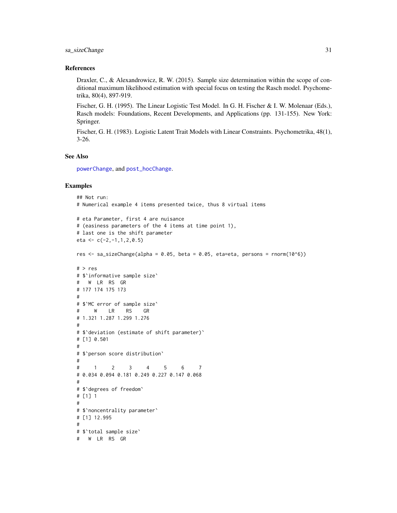## <span id="page-30-0"></span>sa\_sizeChange 31

#### References

Draxler, C., & Alexandrowicz, R. W. (2015). Sample size determination within the scope of conditional maximum likelihood estimation with special focus on testing the Rasch model. Psychometrika, 80(4), 897-919.

Fischer, G. H. (1995). The Linear Logistic Test Model. In G. H. Fischer & I. W. Molenaar (Eds.), Rasch models: Foundations, Recent Developments, and Applications (pp. 131-155). New York: Springer.

Fischer, G. H. (1983). Logistic Latent Trait Models with Linear Constraints. Psychometrika, 48(1), 3-26.

## See Also

[powerChange](#page-14-1), and [post\\_hocChange](#page-6-1).

```
## Not run:
# Numerical example 4 items presented twice, thus 8 virtual items
# eta Parameter, first 4 are nuisance
# (easiness parameters of the 4 items at time point 1),
# last one is the shift parameter
eta <- c(-2,-1,1,2,0.5)res \le sa_sizeChange(alpha = 0.05, beta = 0.05, eta=eta, persons = rnorm(10^6))
# > res
# $`informative sample size`
# W LR RS GR
# 177 174 175 173
#
# $`MC error of sample size`
# W LR RS GR
# 1.321 1.287 1.299 1.276
#
# $`deviation (estimate of shift parameter)`
# [1] 0.501
#
# $`person score distribution`
#
# 1 2 3 4 5 6 7
# 0.034 0.094 0.181 0.249 0.227 0.147 0.068
#
# $`degrees of freedom`
# [1] 1
#
# $`noncentrality parameter`
# [1] 12.995
#
# $`total sample size`
# W LR RS GR
```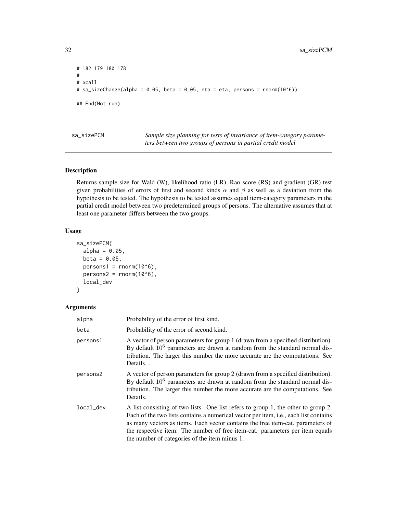```
# 182 179 180 178
#
# $call
# sa_sizeChange(alpha = 0.05, beta = 0.05, eta = eta, persons = rnorm(10^6))
## End(Not run)
```
<span id="page-31-1"></span>sa\_sizePCM *Sample size planning for tests of invariance of item-category parameters between two groups of persons in partial credit model*

## Description

Returns sample size for Wald (W), likelihood ratio (LR), Rao score (RS) and gradient (GR) test given probabilities of errors of first and second kinds  $\alpha$  and  $\beta$  as well as a deviation from the hypothesis to be tested. The hypothesis to be tested assumes equal item-category parameters in the partial credit model between two predetermined groups of persons. The alternative assumes that at least one parameter differs between the two groups.

## Usage

```
sa_sizePCM(
  alpha = 0.05,
  beta = 0.05,
  persons1 = rnorm(10<sup>0</sup>6),persons2 = rnorm(10<sup>0</sup>6),local_dev
)
```
## Arguments

| alpha     | Probability of the error of first kind.                                                                                                                                                                                                                                                                                                                                                       |
|-----------|-----------------------------------------------------------------------------------------------------------------------------------------------------------------------------------------------------------------------------------------------------------------------------------------------------------------------------------------------------------------------------------------------|
| beta      | Probability of the error of second kind.                                                                                                                                                                                                                                                                                                                                                      |
| persons1  | A vector of person parameters for group 1 (drawn from a specified distribution).<br>By default $10^6$ parameters are drawn at random from the standard normal dis-<br>tribution. The larger this number the more accurate are the computations. See<br>Details                                                                                                                                |
| persons2  | A vector of person parameters for group 2 (drawn from a specified distribution).<br>By default $10^6$ parameters are drawn at random from the standard normal dis-<br>tribution. The larger this number the more accurate are the computations. See<br>Details.                                                                                                                               |
| local_dev | A list consisting of two lists. One list refers to group 1, the other to group 2.<br>Each of the two lists contains a numerical vector per item, i.e., each list contains<br>as many vectors as items. Each vector contains the free item-cat. parameters of<br>the respective item. The number of free item-cat. parameters per item equals<br>the number of categories of the item minus 1. |

<span id="page-31-0"></span>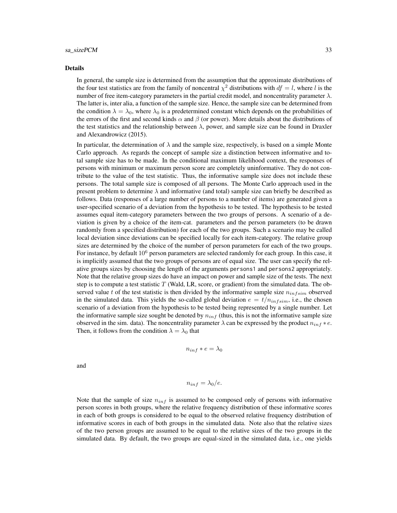#### sa sizePCM 33

#### Details

In general, the sample size is determined from the assumption that the approximate distributions of the four test statistics are from the family of noncentral  $\chi^2$  distributions with  $df = l$ , where l is the number of free item-category parameters in the partial credit model, and noncentrality parameter  $\lambda$ . The latter is, inter alia, a function of the sample size. Hence, the sample size can be determined from the condition  $\lambda = \lambda_0$ , where  $\lambda_0$  is a predetermined constant which depends on the probabilities of the errors of the first and second kinds  $\alpha$  and  $\beta$  (or power). More details about the distributions of the test statistics and the relationship between  $\lambda$ , power, and sample size can be found in Draxler and Alexandrowicz (2015).

In particular, the determination of  $\lambda$  and the sample size, respectively, is based on a simple Monte Carlo approach. As regards the concept of sample size a distinction between informative and total sample size has to be made. In the conditional maximum likelihood context, the responses of persons with minimum or maximum person score are completely uninformative. They do not contribute to the value of the test statistic. Thus, the informative sample size does not include these persons. The total sample size is composed of all persons. The Monte Carlo approach used in the present problem to determine  $\lambda$  and informative (and total) sample size can briefly be described as follows. Data (responses of a large number of persons to a number of items) are generated given a user-specified scenario of a deviation from the hypothesis to be tested. The hypothesis to be tested assumes equal item-category parameters between the two groups of persons. A scenario of a deviation is given by a choice of the item-cat. parameters and the person parameters (to be drawn randomly from a specified distribution) for each of the two groups. Such a scenario may be called local deviation since deviations can be specified locally for each item-category. The relative group sizes are determined by the choice of the number of person parameters for each of the two groups. For instance, by default  $10<sup>6</sup>$  person parameters are selected randomly for each group. In this case, it is implicitly assumed that the two groups of persons are of equal size. The user can specify the relative groups sizes by choosing the length of the arguments persons1 and persons2 appropriately. Note that the relative group sizes do have an impact on power and sample size of the tests. The next step is to compute a test statistic  $T$  (Wald, LR, score, or gradient) from the simulated data. The observed value t of the test statistic is then divided by the informative sample size  $n_{infsim}$  observed in the simulated data. This yields the so-called global deviation  $e = t/n_{infsim}$ , i.e., the chosen scenario of a deviation from the hypothesis to be tested being represented by a single number. Let the informative sample size sought be denoted by  $n_{inf}$  (thus, this is not the informative sample size observed in the sim. data). The noncentrality parameter  $\lambda$  can be expressed by the product  $n_{inf} * e$ . Then, it follows from the condition  $\lambda = \lambda_0$  that

$$
n_{inf} * e = \lambda_0
$$

and

$$
n_{inf} = \lambda_0/e.
$$

Note that the sample of size  $n_{inf}$  is assumed to be composed only of persons with informative person scores in both groups, where the relative frequency distribution of these informative scores in each of both groups is considered to be equal to the observed relative frequency distribution of informative scores in each of both groups in the simulated data. Note also that the relative sizes of the two person groups are assumed to be equal to the relative sizes of the two groups in the simulated data. By default, the two groups are equal-sized in the simulated data, i.e., one yields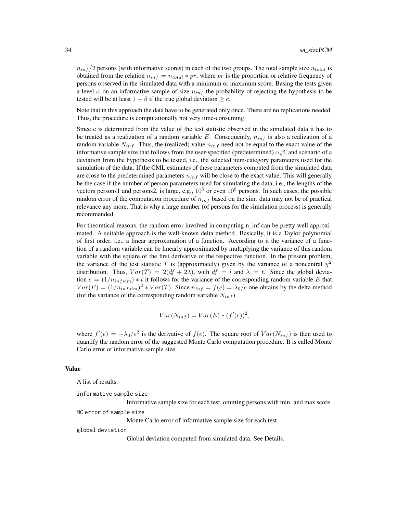$n_{inf} / 2$  persons (with informative scores) in each of the two groups. The total sample size  $n_{total}$  is obtained from the relation  $n_{inf} = n_{total} * pr$ , where pr is the proportion or relative frequency of persons observed in the simulated data with a minimum or maximum score. Basing the tests given a level  $\alpha$  on an informative sample of size  $n_{inf}$  the probability of rejecting the hypothesis to be tested will be at least  $1 - \beta$  if the true global deviation  $\ge e$ .

Note that in this approach the data have to be generated only once. There are no replications needed. Thus, the procedure is computationally not very time-consuming.

Since e is determined from the value of the test statistic observed in the simulated data it has to be treated as a realization of a random variable E. Consequently,  $n_{inf}$  is also a realization of a random variable  $N_{inf}$ . Thus, the (realized) value  $n_{inf}$  need not be equal to the exact value of the informative sample size that follows from the user-specified (predetermined)  $\alpha, \beta$ , and scenario of a deviation from the hypothesis to be tested, i.e., the selected item-category parameters used for the simulation of the data. If the CML estimates of these parameters computed from the simulated data are close to the predetermined parameters  $n_{inf}$  will be close to the exact value. This will generally be the case if the number of person parameters used for simulating the data, i.e., the lengths of the vectors persons1 and persons2, is large, e.g.,  $10^5$  or even  $10^6$  persons. In such cases, the possible random error of the computation procedure of  $n_{inf}$  based on the sim. data may not be of practical relevance any more. That is why a large number (of persons for the simulation process) is generally recommended.

For theoretical reasons, the random error involved in computing n inf can be pretty well approximated. A suitable approach is the well-known delta method. Basically, it is a Taylor polynomial of first order, i.e., a linear approximation of a function. According to it the variance of a function of a random variable can be linearly approximated by multiplying the variance of this random variable with the square of the first derivative of the respective function. In the present problem, the variance of the test statistic T is (approximately) given by the variance of a noncentral  $\chi^2$ distribution. Thus,  $Var(T) = 2(df + 2\lambda)$ , with  $df = l$  and  $\lambda = t$ . Since the global deviation  $e = (1/n_{infsim}) * t$  it follows for the variance of the corresponding random variable E that  $Var(E) = (1/n_{infsim})^2 * Var(T)$ . Since  $n_{inf} = f(e) = \lambda_0/e$  one obtains by the delta method (for the variance of the corresponding random variable  $N_{inf}$ )

$$
Var(N_{inf}) = Var(E) * (f'(e))^2,
$$

where  $f'(e) = -\lambda_0/e^2$  is the derivative of  $f(e)$ . The square root of  $Var(N_{inf})$  is then used to quantify the random error of the suggested Monte Carlo computation procedure. It is called Monte Carlo error of informative sample size.

#### Value

A list of results.

informative sample size

Informative sample size for each test, omitting persons with min. and max score.

MC error of sample size

Monte Carlo error of informative sample size for each test.

global deviation

Global deviation computed from simulated data. See Details.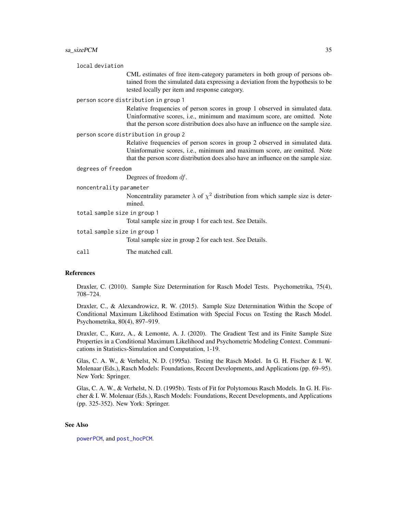<span id="page-34-0"></span>

| local deviation                      |                                                                                                                                                                                                                                                |  |
|--------------------------------------|------------------------------------------------------------------------------------------------------------------------------------------------------------------------------------------------------------------------------------------------|--|
|                                      | CML estimates of free item-category parameters in both group of persons ob-<br>tained from the simulated data expressing a deviation from the hypothesis to be<br>tested locally per item and response category.                               |  |
| person score distribution in group 1 |                                                                                                                                                                                                                                                |  |
|                                      | Relative frequencies of person scores in group 1 observed in simulated data.<br>Uninformative scores, i.e., minimum and maximum score, are omitted. Note<br>that the person score distribution does also have an influence on the sample size. |  |
| person score distribution in group 2 |                                                                                                                                                                                                                                                |  |
|                                      | Relative frequencies of person scores in group 2 observed in simulated data.<br>Uninformative scores, i.e., minimum and maximum score, are omitted. Note<br>that the person score distribution does also have an influence on the sample size. |  |
| degrees of freedom                   |                                                                                                                                                                                                                                                |  |
|                                      | Degrees of freedom $df$ .                                                                                                                                                                                                                      |  |
| noncentrality parameter              |                                                                                                                                                                                                                                                |  |
|                                      | Noncentrality parameter $\lambda$ of $\chi^2$ distribution from which sample size is deter-<br>mined.                                                                                                                                          |  |
| total sample size in group 1         |                                                                                                                                                                                                                                                |  |
|                                      | Total sample size in group 1 for each test. See Details.                                                                                                                                                                                       |  |
| total sample size in group 1         |                                                                                                                                                                                                                                                |  |
|                                      | Total sample size in group 2 for each test. See Details.                                                                                                                                                                                       |  |
| call                                 | The matched call.                                                                                                                                                                                                                              |  |

## References

Draxler, C. (2010). Sample Size Determination for Rasch Model Tests. Psychometrika, 75(4), 708–724.

Draxler, C., & Alexandrowicz, R. W. (2015). Sample Size Determination Within the Scope of Conditional Maximum Likelihood Estimation with Special Focus on Testing the Rasch Model. Psychometrika, 80(4), 897–919.

Draxler, C., Kurz, A., & Lemonte, A. J. (2020). The Gradient Test and its Finite Sample Size Properties in a Conditional Maximum Likelihood and Psychometric Modeling Context. Communications in Statistics-Simulation and Computation, 1-19.

Glas, C. A. W., & Verhelst, N. D. (1995a). Testing the Rasch Model. In G. H. Fischer & I. W. Molenaar (Eds.), Rasch Models: Foundations, Recent Developments, and Applications (pp. 69–95). New York: Springer.

Glas, C. A. W., & Verhelst, N. D. (1995b). Tests of Fit for Polytomous Rasch Models. In G. H. Fischer & I. W. Molenaar (Eds.), Rasch Models: Foundations, Recent Developments, and Applications (pp. 325-352). New York: Springer.

## See Also

[powerPCM](#page-18-1), and [post\\_hocPCM](#page-8-1).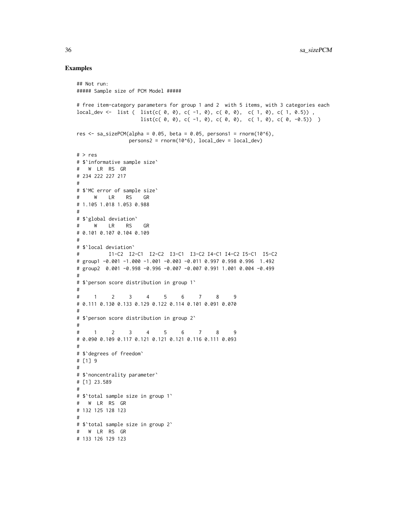```
## Not run:
##### Sample size of PCM Model #####
# free item-category parameters for group 1 and 2 with 5 items, with 3 categories each
local_dev <- list ( list(c( 0, 0), c( -1, 0), c( 0, 0), c( 1, 0), c( 1, 0.5)),
                    list(c( 0, 0), c( -1, 0), c( 0, 0), c( 1, 0), c( 0, -0.5)) )res <- sa_sizePCM(alpha = 0.05, beta = 0.05, persons1 = rnorm(10^6),
                persons2 = rnorm(10<sup>6</sup>), local_dev = local_dev)
# > res
# $`informative sample size`
# W LR RS GR
# 234 222 227 217
#
# $`MC error of sample size`
# W LR RS GR
# 1.105 1.018 1.053 0.988
#
# $`global deviation`
# W LR RS GR
# 0.101 0.107 0.104 0.109
#
# $`local deviation`
# I1-C2 I2-C1 I2-C2 I3-C1 I3-C2 I4-C1 I4-C2 I5-C1 I5-C2
# group1 -0.001 -1.000 -1.001 -0.003 -0.011 0.997 0.998 0.996 1.492
# group2 0.001 -0.998 -0.996 -0.007 -0.007 0.991 1.001 0.004 -0.499
#
# $`person score distribution in group 1`
#
# 1 2 3 4 5 6 7 8 9
# 0.111 0.130 0.133 0.129 0.122 0.114 0.101 0.091 0.070
#
# $`person score distribution in group 2`
#
# 1 2 3 4 5 6 7 8 9
# 0.090 0.109 0.117 0.121 0.121 0.121 0.116 0.111 0.093
#
# $`degrees of freedom`
# [1] 9
#
# $`noncentrality parameter`
# [1] 23.589
#
# $`total sample size in group 1`
# W LR RS GR
# 132 125 128 123
#
# $`total sample size in group 2`
# W LR RS GR
# 133 126 129 123
```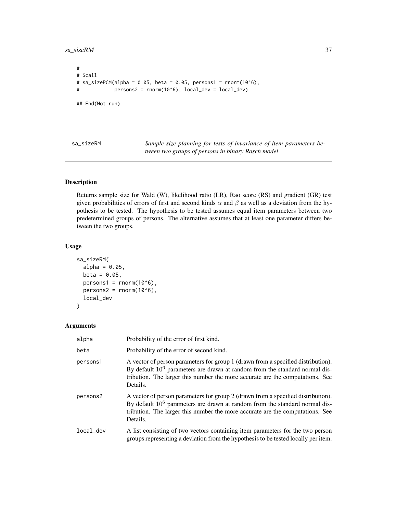<span id="page-36-0"></span>sa\_sizeRM 37

```
#
# $call
# sa_sizePCM(alpha = 0.05, beta = 0.05, persons1 = rnorm(10^6),
# persons2 = rnorm(10^6), local_dev = local_dev)
## End(Not run)
```
<span id="page-36-1"></span>sa\_sizeRM *Sample size planning for tests of invariance of item parameters between two groups of persons in binary Rasch model*

## Description

Returns sample size for Wald (W), likelihood ratio (LR), Rao score (RS) and gradient (GR) test given probabilities of errors of first and second kinds  $\alpha$  and  $\beta$  as well as a deviation from the hypothesis to be tested. The hypothesis to be tested assumes equal item parameters between two predetermined groups of persons. The alternative assumes that at least one parameter differs between the two groups.

## Usage

```
sa_sizeRM(
  alpha = 0.05,
  beta = 0.05,
  persons1 = rnorm(10<sup>0</sup>6),persons2 = rnorm(10<sup>0</sup>6),local_dev
)
```
#### Arguments

| alpha     | Probability of the error of first kind.                                                                                                                                                                                                                         |
|-----------|-----------------------------------------------------------------------------------------------------------------------------------------------------------------------------------------------------------------------------------------------------------------|
| beta      | Probability of the error of second kind.                                                                                                                                                                                                                        |
| persons1  | A vector of person parameters for group 1 (drawn from a specified distribution).<br>By default $10^6$ parameters are drawn at random from the standard normal dis-<br>tribution. The larger this number the more accurate are the computations. See<br>Details. |
| persons2  | A vector of person parameters for group 2 (drawn from a specified distribution).<br>By default $10^6$ parameters are drawn at random from the standard normal dis-<br>tribution. The larger this number the more accurate are the computations. See<br>Details. |
| local_dev | A list consisting of two vectors containing item parameters for the two person<br>groups representing a deviation from the hypothesis to be tested locally per item.                                                                                            |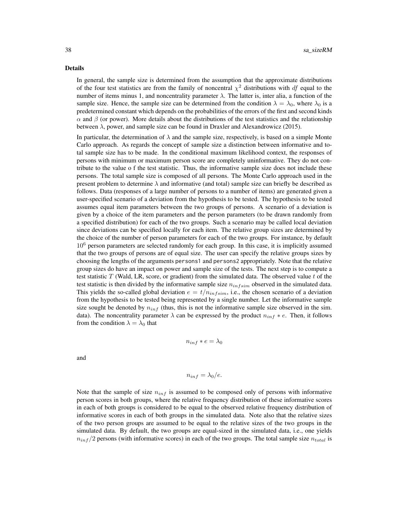#### Details

In general, the sample size is determined from the assumption that the approximate distributions of the four test statistics are from the family of noncentral  $\chi^2$  distributions with df equal to the number of items minus 1, and noncentrality parameter  $\lambda$ . The latter is, inter alia, a function of the sample size. Hence, the sample size can be determined from the condition  $\lambda = \lambda_0$ , where  $\lambda_0$  is a predetermined constant which depends on the probabilities of the errors of the first and second kinds  $\alpha$  and  $\beta$  (or power). More details about the distributions of the test statistics and the relationship between  $\lambda$ , power, and sample size can be found in Draxler and Alexandrowicz (2015).

In particular, the determination of  $\lambda$  and the sample size, respectively, is based on a simple Monte Carlo approach. As regards the concept of sample size a distinction between informative and total sample size has to be made. In the conditional maximum likelihood context, the responses of persons with minimum or maximum person score are completely uninformative. They do not contribute to the value o f the test statistic. Thus, the informative sample size does not include these persons. The total sample size is composed of all persons. The Monte Carlo approach used in the present problem to determine  $\lambda$  and informative (and total) sample size can briefly be described as follows. Data (responses of a large number of persons to a number of items) are generated given a user-specified scenario of a deviation from the hypothesis to be tested. The hypothesis to be tested assumes equal item parameters between the two groups of persons. A scenario of a deviation is given by a choice of the item parameters and the person parameters (to be drawn randomly from a specified distribution) for each of the two groups. Such a scenario may be called local deviation since deviations can be specified locally for each item. The relative group sizes are determined by the choice of the number of person parameters for each of the two groups. For instance, by default 10<sup>6</sup> person parameters are selected randomly for each group. In this case, it is implicitly assumed that the two groups of persons are of equal size. The user can specify the relative groups sizes by choosing the lengths of the arguments persons1 and persons2 appropriately. Note that the relative group sizes do have an impact on power and sample size of the tests. The next step is to compute a test statistic T (Wald, LR, score, or gradient) from the simulated data. The observed value t of the test statistic is then divided by the informative sample size  $n_{infsim}$  observed in the simulated data. This yields the so-called global deviation  $e = t/n_{infsim}$ , i.e., the chosen scenario of a deviation from the hypothesis to be tested being represented by a single number. Let the informative sample size sought be denoted by  $n_{inf}$  (thus, this is not the informative sample size observed in the sim. data). The noncentrality parameter  $\lambda$  can be expressed by the product  $n_{inf} * e$ . Then, it follows from the condition  $\lambda = \lambda_0$  that

$$
n_{inf} * e = \lambda_0
$$

and

$$
n_{inf} = \lambda_0/e.
$$

Note that the sample of size  $n_{inf}$  is assumed to be composed only of persons with informative person scores in both groups, where the relative frequency distribution of these informative scores in each of both groups is considered to be equal to the observed relative frequency distribution of informative scores in each of both groups in the simulated data. Note also that the relative sizes of the two person groups are assumed to be equal to the relative sizes of the two groups in the simulated data. By default, the two groups are equal-sized in the simulated data, i.e., one yields  $n_{inf}/2$  persons (with informative scores) in each of the two groups. The total sample size  $n_{total}$  is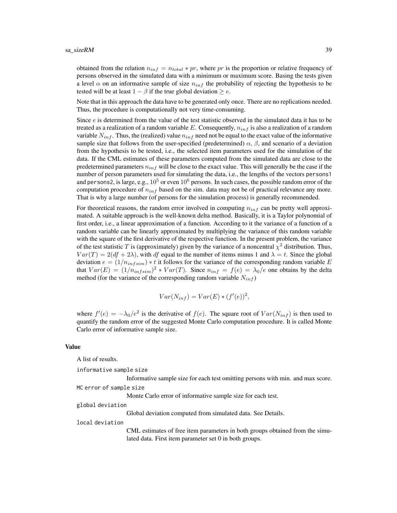obtained from the relation  $n_{inf} = n_{total} * pr$ , where pr is the proportion or relative frequency of persons observed in the simulated data with a minimum or maximum score. Basing the tests given a level  $\alpha$  on an informative sample of size  $n_{inf}$  the probability of rejecting the hypothesis to be tested will be at least  $1 - \beta$  if the true global deviation  $\ge e$ .

Note that in this approach the data have to be generated only once. There are no replications needed. Thus, the procedure is computationally not very time-consuming.

Since *e* is determined from the value of the test statistic observed in the simulated data it has to be treated as a realization of a random variable E. Consequently,  $n_{inf}$  is also a realization of a random variable  $N_{inf}$ . Thus, the (realized) value  $n_{inf}$  need not be equal to the exact value of the informative sample size that follows from the user-specified (predetermined)  $\alpha$ ,  $\beta$ , and scenario of a deviation from the hypothesis to be tested, i.e., the selected item parameters used for the simulation of the data. If the CML estimates of these parameters computed from the simulated data are close to the predetermined parameters  $n_{inf}$  will be close to the exact value. This will generally be the case if the number of person parameters used for simulating the data, i.e., the lengths of the vectors persons1 and persons2, is large, e.g.,  $10^5$  or even  $10^6$  persons. In such cases, the possible random error of the computation procedure of  $n_{inf}$  based on the sim. data may not be of practical relevance any more. That is why a large number (of persons for the simulation process) is generally recommended.

For theoretical reasons, the random error involved in computing  $n_{inf}$  can be pretty well approximated. A suitable approach is the well-known delta method. Basically, it is a Taylor polynomial of first order, i.e., a linear approximation of a function. According to it the variance of a function of a random variable can be linearly approximated by multiplying the variance of this random variable with the square of the first derivative of the respective function. In the present problem, the variance of the test statistic T is (approximately) given by the variance of a noncentral  $\chi^2$  distribution. Thus,  $Var(T) = 2(df + 2\lambda)$ , with df equal to the number of items minus 1 and  $\lambda = t$ . Since the global deviation  $e = (1/n_{infsim}) * t$  it follows for the variance of the corresponding random variable E that  $Var(E) = (1/n_{infsim})^2 * Var(T)$ . Since  $n_{inf} = f(e) = \lambda_0/e$  one obtains by the delta method (for the variance of the corresponding random variable  $N_{inf}$ )

$$
Var(N_{inf}) = Var(E) * (f'(e))^2,
$$

where  $f'(e) = -\lambda_0/e^2$  is the derivative of  $f(e)$ . The square root of  $Var(N_{inf})$  is then used to quantify the random error of the suggested Monte Carlo computation procedure. It is called Monte Carlo error of informative sample size.

#### Value

A list of results.

informative sample size

Informative sample size for each test omitting persons with min. and max score.

MC error of sample size

Monte Carlo error of informative sample size for each test.

Global deviation computed from simulated data. See Details.

## global deviation

local deviation

CML estimates of free item parameters in both groups obtained from the simulated data. First item parameter set 0 in both groups.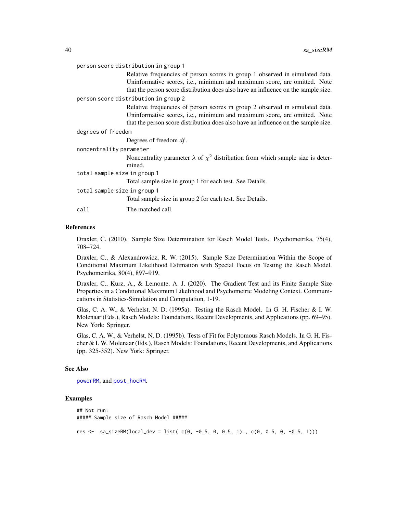#### <span id="page-39-0"></span>person score distribution in group 1

Relative frequencies of person scores in group 1 observed in simulated data. Uninformative scores, i.e., minimum and maximum score, are omitted. Note that the person score distribution does also have an influence on the sample size.

#### person score distribution in group 2

Relative frequencies of person scores in group 2 observed in simulated data. Uninformative scores, i.e., minimum and maximum score, are omitted. Note that the person score distribution does also have an influence on the sample size.

#### degrees of freedom

Degrees of freedom df.

| noncentrality parameter      |                                                                                             |  |  |
|------------------------------|---------------------------------------------------------------------------------------------|--|--|
|                              | Noncentrality parameter $\lambda$ of $\chi^2$ distribution from which sample size is deter- |  |  |
|                              | mined.                                                                                      |  |  |
| total sample size in group 1 |                                                                                             |  |  |
|                              | Total sample size in group 1 for each test. See Details.                                    |  |  |
| total sample size in group 1 |                                                                                             |  |  |
|                              | Total sample size in group 2 for each test. See Details.                                    |  |  |
|                              |                                                                                             |  |  |

call The matched call.

#### References

Draxler, C. (2010). Sample Size Determination for Rasch Model Tests. Psychometrika, 75(4), 708–724.

Draxler, C., & Alexandrowicz, R. W. (2015). Sample Size Determination Within the Scope of Conditional Maximum Likelihood Estimation with Special Focus on Testing the Rasch Model. Psychometrika, 80(4), 897–919.

Draxler, C., Kurz, A., & Lemonte, A. J. (2020). The Gradient Test and its Finite Sample Size Properties in a Conditional Maximum Likelihood and Psychometric Modeling Context. Communications in Statistics-Simulation and Computation, 1-19.

Glas, C. A. W., & Verhelst, N. D. (1995a). Testing the Rasch Model. In G. H. Fischer & I. W. Molenaar (Eds.), Rasch Models: Foundations, Recent Developments, and Applications (pp. 69–95). New York: Springer.

Glas, C. A. W., & Verhelst, N. D. (1995b). Tests of Fit for Polytomous Rasch Models. In G. H. Fischer & I. W. Molenaar (Eds.), Rasch Models: Foundations, Recent Developments, and Applications (pp. 325-352). New York: Springer.

#### See Also

[powerRM](#page-23-1), and [post\\_hocRM](#page-11-1).

```
## Not run:
##### Sample size of Rasch Model #####
res <- sa_sizeRM(local_dev = list( c(0, -0.5, 0, 0.5, 1) , c(0, 0.5, 0, -0.5, 1)))
```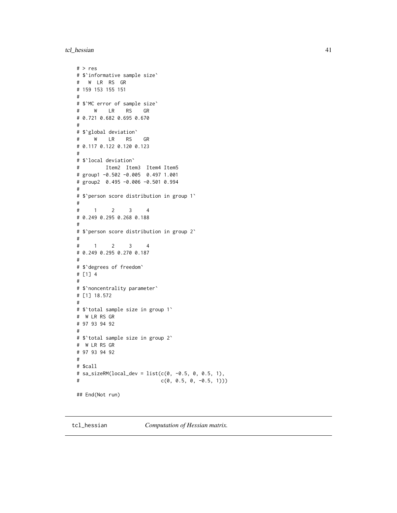<span id="page-40-0"></span>tcl\_hessian 41

```
# > res
# $`informative sample size`
# W LR RS GR
# 159 153 155 151
#
# $`MC error of sample size`
# W LR RS GR
# 0.721 0.682 0.695 0.670
#
# $`global deviation`
# W LR RS GR
# 0.117 0.122 0.120 0.123
#
# $`local deviation`
# Item2 Item3 Item4 Item5
# group1 -0.502 -0.005 0.497 1.001
# group2 0.495 -0.006 -0.501 0.994
#
# $`person score distribution in group 1`
#
# 1 2 3 4
# 0.249 0.295 0.268 0.188
#
# $`person score distribution in group 2`
#
# 1 2 3 4
# 0.249 0.295 0.270 0.187
#
# $`degrees of freedom`
# [1] 4
#
# $`noncentrality parameter`
# [1] 18.572
#
# $`total sample size in group 1`
# W LR RS GR
# 97 93 94 92
#
# $`total sample size in group 2`
# W LR RS GR
# 97 93 94 92
#
# $call
# sa_sizeRM(local_dev = list(c(0, -0.5, 0, 0.5, 1),
# c(0, 0.5, 0, -0.5, 1)))
## End(Not run)
```
tcl\_hessian *Computation of Hessian matrix.*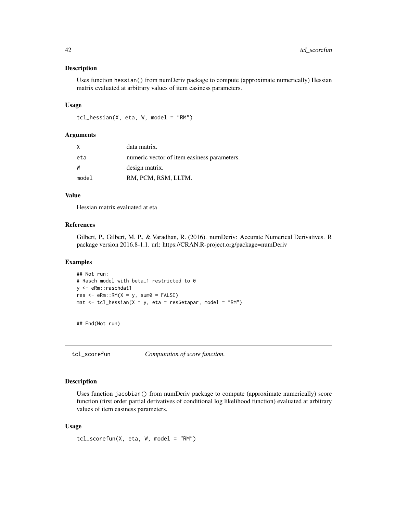#### <span id="page-41-0"></span>Description

Uses function hessian() from numDeriv package to compute (approximate numerically) Hessian matrix evaluated at arbitrary values of item easiness parameters.

#### Usage

```
tcl_hessian(X, eta, W, model = "RM")
```
## Arguments

|       | data matrix.                                |
|-------|---------------------------------------------|
| eta   | numeric vector of item easiness parameters. |
|       | design matrix.                              |
| model | RM, PCM, RSM, LLTM.                         |

#### Value

Hessian matrix evaluated at eta

## References

Gilbert, P., Gilbert, M. P., & Varadhan, R. (2016). numDeriv: Accurate Numerical Derivatives. R package version 2016.8-1.1. url: https://CRAN.R-project.org/package=numDeriv

#### Examples

```
## Not run:
# Rasch model with beta_1 restricted to 0
y <- eRm::raschdat1
res \leq -eRm::RM(X = y, sum0 = FALSE)mat \le tcl_hessian(X = y, eta = res$etapar, model = "RM")
```
## End(Not run)

tcl\_scorefun *Computation of score function.*

## Description

Uses function jacobian() from numDeriv package to compute (approximate numerically) score function (first order partial derivatives of conditional log likelihood function) evaluated at arbitrary values of item easiness parameters.

#### Usage

 $tcl\_scorefun(X, eta, W, model = "RM")$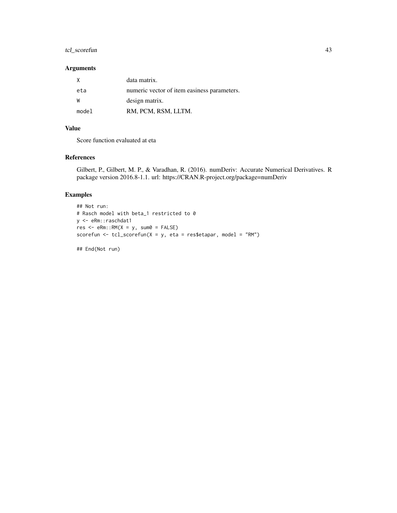## tcl\_scorefun 43

## Arguments

|       | data matrix.                                |
|-------|---------------------------------------------|
| eta   | numeric vector of item easiness parameters. |
| W     | design matrix.                              |
| model | RM, PCM, RSM, LLTM.                         |

## Value

Score function evaluated at eta

## References

Gilbert, P., Gilbert, M. P., & Varadhan, R. (2016). numDeriv: Accurate Numerical Derivatives. R package version 2016.8-1.1. url: https://CRAN.R-project.org/package=numDeriv

## Examples

```
## Not run:
# Rasch model with beta_1 restricted to 0
y <- eRm::raschdat1
res < - eRm::RM(X = y, sum0 = FALSE)scorefun <- tcl_scorefun(X = y, eta = res$etapar, model = "RM")
```
## End(Not run)